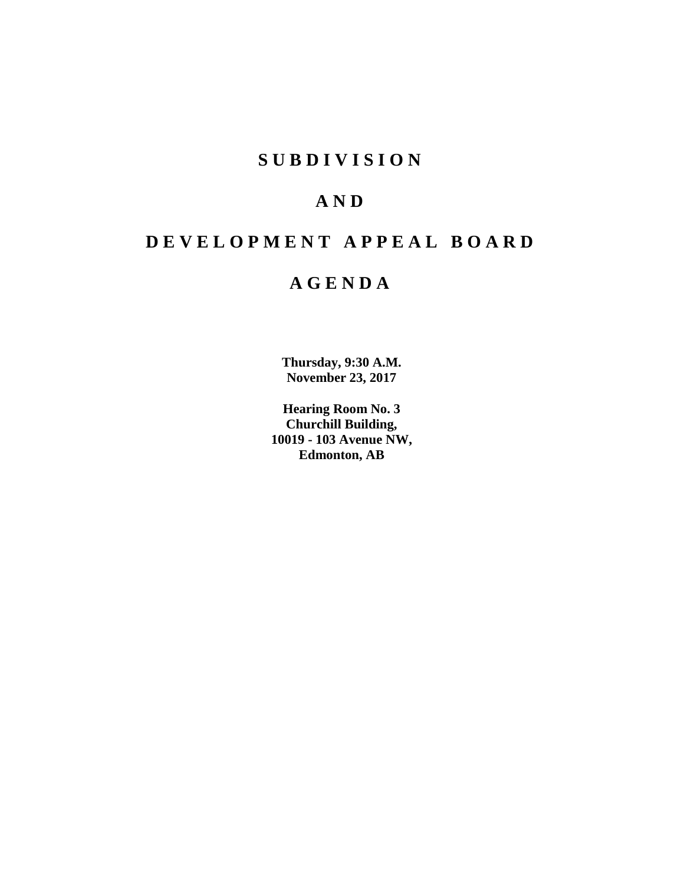## **SUBDIVISION**

## **AND**

## **DEVELOPMENT APPEAL BOARD**

## **AGENDA**

**Thursday, 9:30 A.M. November 23, 2017**

**Hearing Room No. 3 Churchill Building, 10019 - 103 Avenue NW, Edmonton, AB**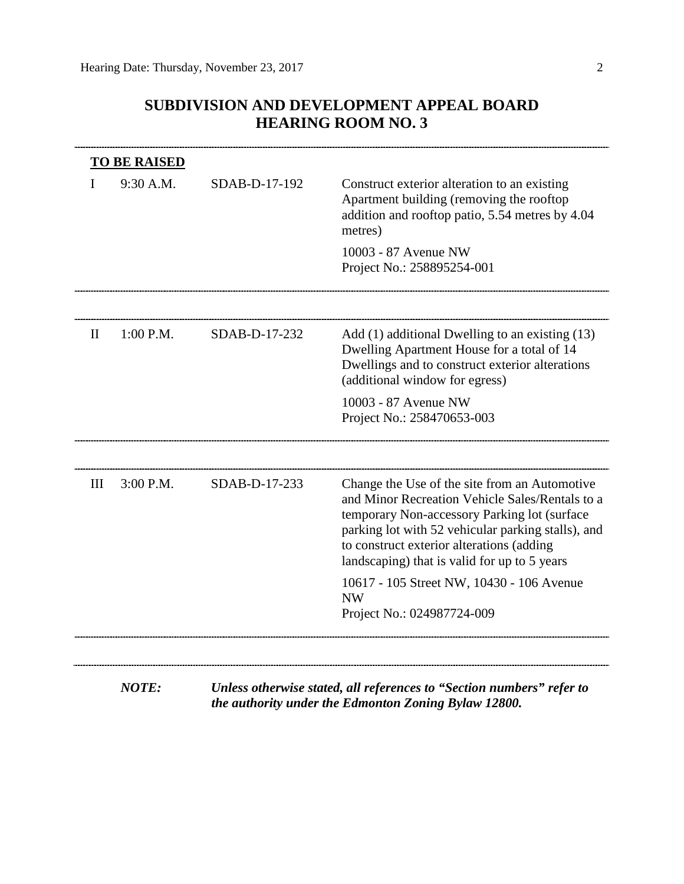## **SUBDIVISION AND DEVELOPMENT APPEAL BOARD HEARING ROOM NO. 3**

|              | <b>TO BE RAISED</b> |               |                                                                                                                                                                                                                                                                                                     |
|--------------|---------------------|---------------|-----------------------------------------------------------------------------------------------------------------------------------------------------------------------------------------------------------------------------------------------------------------------------------------------------|
|              | 9:30 A.M.           | SDAB-D-17-192 | Construct exterior alteration to an existing<br>Apartment building (removing the rooftop<br>addition and rooftop patio, 5.54 metres by 4.04<br>metres)                                                                                                                                              |
|              |                     |               | 10003 - 87 Avenue NW<br>Project No.: 258895254-001                                                                                                                                                                                                                                                  |
|              |                     |               |                                                                                                                                                                                                                                                                                                     |
| $\mathbf{I}$ | $1:00$ P.M.         | SDAB-D-17-232 | Add (1) additional Dwelling to an existing (13)<br>Dwelling Apartment House for a total of 14<br>Dwellings and to construct exterior alterations<br>(additional window for egress)                                                                                                                  |
|              |                     |               | 10003 - 87 Avenue NW<br>Project No.: 258470653-003                                                                                                                                                                                                                                                  |
|              |                     |               |                                                                                                                                                                                                                                                                                                     |
| Ш            | 3:00 P.M.           | SDAB-D-17-233 | Change the Use of the site from an Automotive<br>and Minor Recreation Vehicle Sales/Rentals to a<br>temporary Non-accessory Parking lot (surface<br>parking lot with 52 vehicular parking stalls), and<br>to construct exterior alterations (adding<br>landscaping) that is valid for up to 5 years |
|              |                     |               | 10617 - 105 Street NW, 10430 - 106 Avenue<br><b>NW</b>                                                                                                                                                                                                                                              |
|              |                     |               | Project No.: 024987724-009                                                                                                                                                                                                                                                                          |
|              |                     |               |                                                                                                                                                                                                                                                                                                     |

*NOTE: Unless otherwise stated, all references to "Section numbers" refer to the authority under the Edmonton Zoning Bylaw 12800.*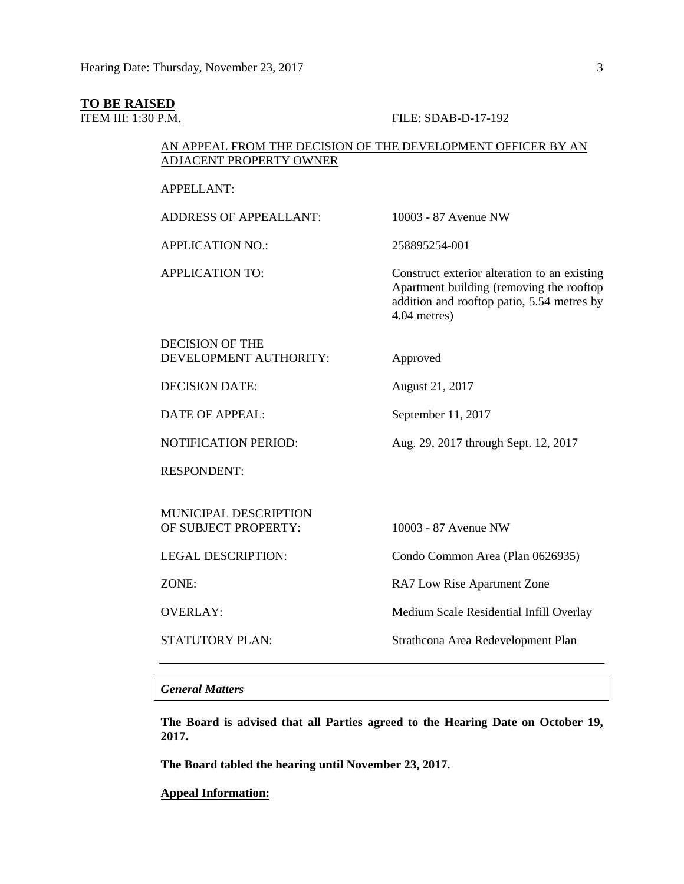# **TO BE RAISED**<br>**ITEM III: 1:30 P.M.**

#### FILE: SDAB-D-17-192

#### AN APPEAL FROM THE DECISION OF THE DEVELOPMENT OFFICER BY AN ADJACENT PROPERTY OWNER

APPELLANT:

| <b>ADDRESS OF APPEALLANT:</b>                        | 10003 - 87 Avenue NW                                                                                                                                   |
|------------------------------------------------------|--------------------------------------------------------------------------------------------------------------------------------------------------------|
| <b>APPLICATION NO.:</b>                              | 258895254-001                                                                                                                                          |
| <b>APPLICATION TO:</b>                               | Construct exterior alteration to an existing<br>Apartment building (removing the rooftop<br>addition and rooftop patio, 5.54 metres by<br>4.04 metres) |
| <b>DECISION OF THE</b><br>DEVELOPMENT AUTHORITY:     | Approved                                                                                                                                               |
| <b>DECISION DATE:</b>                                | August 21, 2017                                                                                                                                        |
| <b>DATE OF APPEAL:</b>                               | September 11, 2017                                                                                                                                     |
| <b>NOTIFICATION PERIOD:</b>                          | Aug. 29, 2017 through Sept. 12, 2017                                                                                                                   |
| <b>RESPONDENT:</b>                                   |                                                                                                                                                        |
| <b>MUNICIPAL DESCRIPTION</b><br>OF SUBJECT PROPERTY: | 10003 - 87 Avenue NW                                                                                                                                   |
| <b>LEGAL DESCRIPTION:</b>                            | Condo Common Area (Plan 0626935)                                                                                                                       |
| ZONE:                                                | RA7 Low Rise Apartment Zone                                                                                                                            |
| <b>OVERLAY:</b>                                      | Medium Scale Residential Infill Overlay                                                                                                                |
| <b>STATUTORY PLAN:</b>                               | Strathcona Area Redevelopment Plan                                                                                                                     |

#### *General Matters*

**The Board is advised that all Parties agreed to the Hearing Date on October 19, 2017.**

**The Board tabled the hearing until November 23, 2017.**

**Appeal Information:**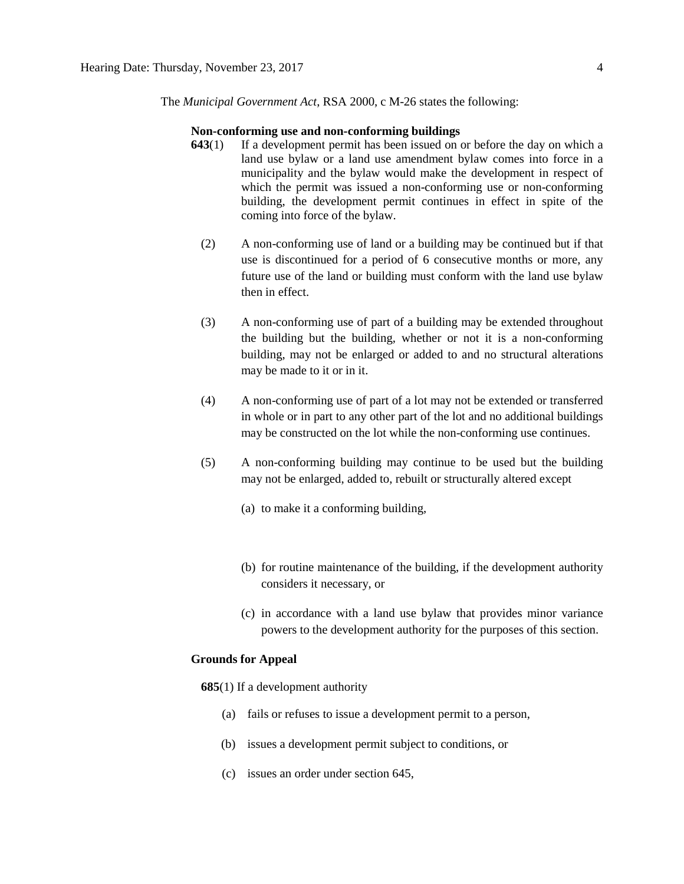The *Municipal Government Act*, RSA 2000, c M-26 states the following:

#### **Non-conforming use and non-conforming buildings**

- **643**(1) If a development permit has been issued on or before the day on which a land use bylaw or a land use amendment bylaw comes into force in a municipality and the bylaw would make the development in respect of which the permit was issued a non-conforming use or non-conforming building, the development permit continues in effect in spite of the coming into force of the bylaw.
	- (2) A non-conforming use of land or a building may be continued but if that use is discontinued for a period of 6 consecutive months or more, any future use of the land or building must conform with the land use bylaw then in effect.
	- (3) A non-conforming use of part of a building may be extended throughout the building but the building, whether or not it is a non-conforming building, may not be enlarged or added to and no structural alterations may be made to it or in it.
	- (4) A non-conforming use of part of a lot may not be extended or transferred in whole or in part to any other part of the lot and no additional buildings may be constructed on the lot while the non-conforming use continues.
	- (5) A non-conforming building may continue to be used but the building may not be enlarged, added to, rebuilt or structurally altered except
		- (a) to make it a conforming building,
		- (b) for routine maintenance of the building, if the development authority considers it necessary, or
		- (c) in accordance with a land use bylaw that provides minor variance powers to the development authority for the purposes of this section.

#### **Grounds for Appeal**

**685**(1) If a development authority

- (a) fails or refuses to issue a development permit to a person,
- (b) issues a development permit subject to conditions, or
- (c) issues an order under section 645,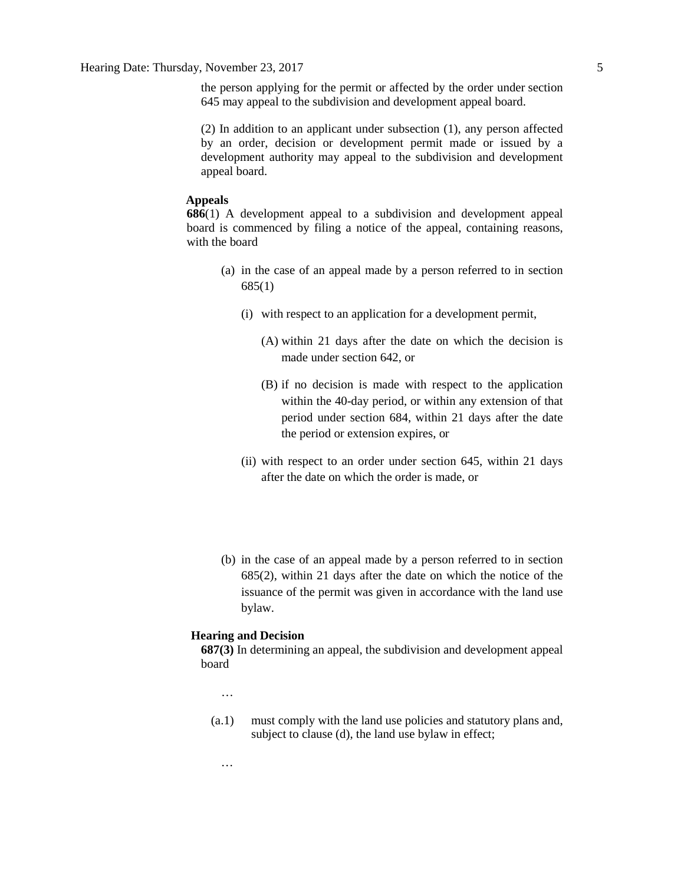the person applying for the permit or affected by the order under section 645 may appeal to the subdivision and development appeal board.

(2) In addition to an applicant under subsection (1), any person affected by an order, decision or development permit made or issued by a development authority may appeal to the subdivision and development appeal board.

#### **Appeals**

**686**(1) A development appeal to a subdivision and development appeal board is commenced by filing a notice of the appeal, containing reasons, with the board

- (a) in the case of an appeal made by a person referred to in section 685(1)
	- (i) with respect to an application for a development permit,
		- (A) within 21 days after the date on which the decision is made under section 642, or
		- (B) if no decision is made with respect to the application within the 40-day period, or within any extension of that period under section 684, within 21 days after the date the period or extension expires, or
	- (ii) with respect to an order under section 645, within 21 days after the date on which the order is made, or
- (b) in the case of an appeal made by a person referred to in section 685(2), within 21 days after the date on which the notice of the issuance of the permit was given in accordance with the land use bylaw.

#### **Hearing and Decision**

**687(3)** In determining an appeal, the subdivision and development appeal board

…

…

(a.1) must comply with the land use policies and statutory plans and, subject to clause (d), the land use bylaw in effect;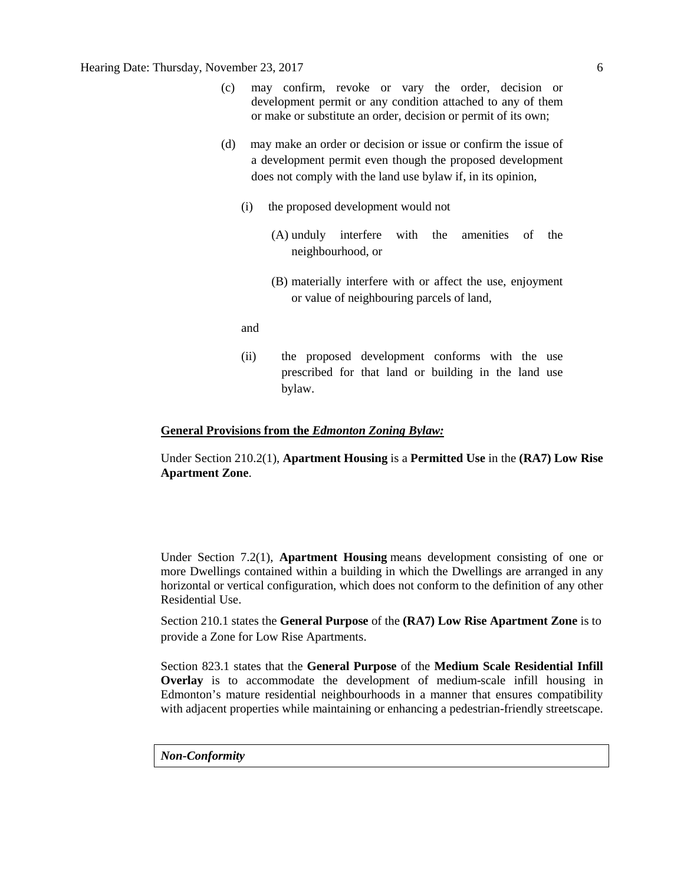#### Hearing Date: Thursday, November 23, 2017 6

- (c) may confirm, revoke or vary the order, decision or development permit or any condition attached to any of them or make or substitute an order, decision or permit of its own;
- (d) may make an order or decision or issue or confirm the issue of a development permit even though the proposed development does not comply with the land use bylaw if, in its opinion,
	- (i) the proposed development would not
		- (A) unduly interfere with the amenities of the neighbourhood, or
		- (B) materially interfere with or affect the use, enjoyment or value of neighbouring parcels of land,
	- and
	- (ii) the proposed development conforms with the use prescribed for that land or building in the land use bylaw.

#### **General Provisions from the** *Edmonton Zoning Bylaw:*

Under Section 210.2(1), **Apartment Housing** is a **Permitted Use** in the **(RA7) Low Rise Apartment Zone**.

Under Section 7.2(1), **Apartment Housing** means development consisting of one or more Dwellings contained within a building in which the Dwellings are arranged in any horizontal or vertical configuration, which does not conform to the definition of any other Residential Use.

Section 210.1 states the **General Purpose** of the **(RA7) Low Rise Apartment Zone** is to provide a Zone for Low Rise Apartments.

Section 823.1 states that the **General Purpose** of the **Medium Scale Residential Infill Overlay** is to accommodate the development of medium-scale infill housing in Edmonton's mature residential neighbourhoods in a manner that ensures compatibility with adjacent properties while maintaining or enhancing a pedestrian-friendly streetscape.

*Non-Conformity*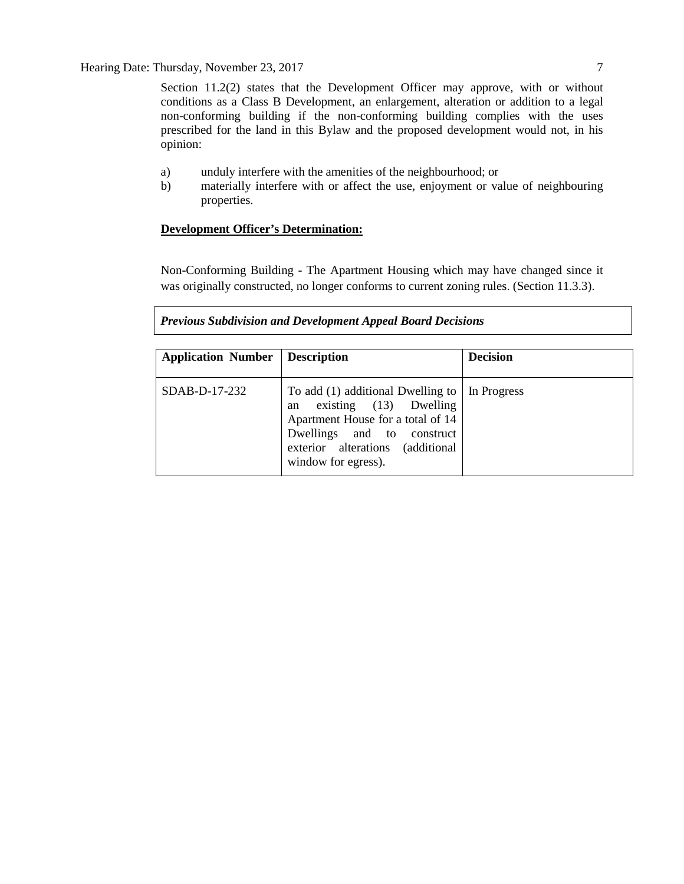Section 11.2(2) states that the Development Officer may approve, with or without conditions as a Class B Development, an enlargement, alteration or addition to a legal non-conforming building if the non-conforming building complies with the uses prescribed for the land in this Bylaw and the proposed development would not, in his opinion:

- a) unduly interfere with the amenities of the neighbourhood; or
- b) materially interfere with or affect the use, enjoyment or value of neighbouring properties.

#### **Development Officer's Determination:**

Non-Conforming Building - The Apartment Housing which may have changed since it was originally constructed, no longer conforms to current zoning rules. (Section 11.3.3).

#### *Previous Subdivision and Development Appeal Board Decisions*

| <b>Application Number</b> | <b>Description</b>                                                                                                                                                                                | <b>Decision</b> |
|---------------------------|---------------------------------------------------------------------------------------------------------------------------------------------------------------------------------------------------|-----------------|
| $SDAB-D-17-232$           | To add $(1)$ additional Dwelling to<br>existing (13) Dwelling<br>an<br>Apartment House for a total of 14<br>Dwellings and to construct<br>exterior alterations (additional<br>window for egress). | In Progress     |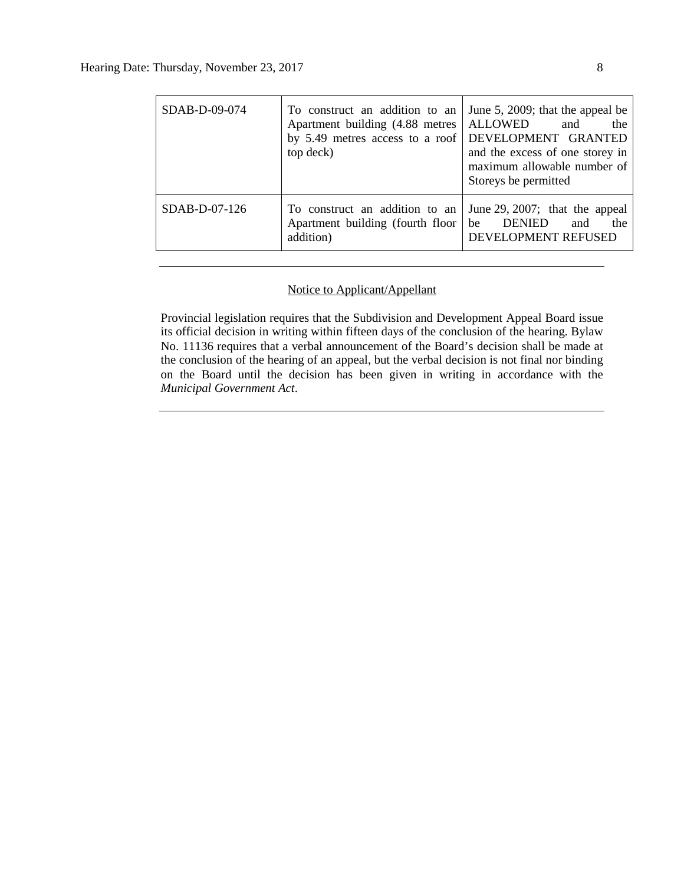| SDAB-D-09-074                                                                                    | To construct an addition to an<br>Apartment building (4.88 metres<br>by 5.49 metres access to a roof DEVELOPMENT GRANTED<br>top deck) | June 5, 2009; that the appeal be<br><b>ALLOWED</b><br>the<br>and<br>and the excess of one storey in<br>maximum allowable number of<br>Storeys be permitted |  |
|--------------------------------------------------------------------------------------------------|---------------------------------------------------------------------------------------------------------------------------------------|------------------------------------------------------------------------------------------------------------------------------------------------------------|--|
| SDAB-D-07-126<br>To construct an addition to an<br>Apartment building (fourth floor<br>addition) |                                                                                                                                       | June 29, 2007; that the appeal<br><b>DENIED</b><br>be<br>the<br>and<br>DEVELOPMENT REFUSED                                                                 |  |

### Notice to Applicant/Appellant

Provincial legislation requires that the Subdivision and Development Appeal Board issue its official decision in writing within fifteen days of the conclusion of the hearing. Bylaw No. 11136 requires that a verbal announcement of the Board's decision shall be made at the conclusion of the hearing of an appeal, but the verbal decision is not final nor binding on the Board until the decision has been given in writing in accordance with the *Municipal Government Act*.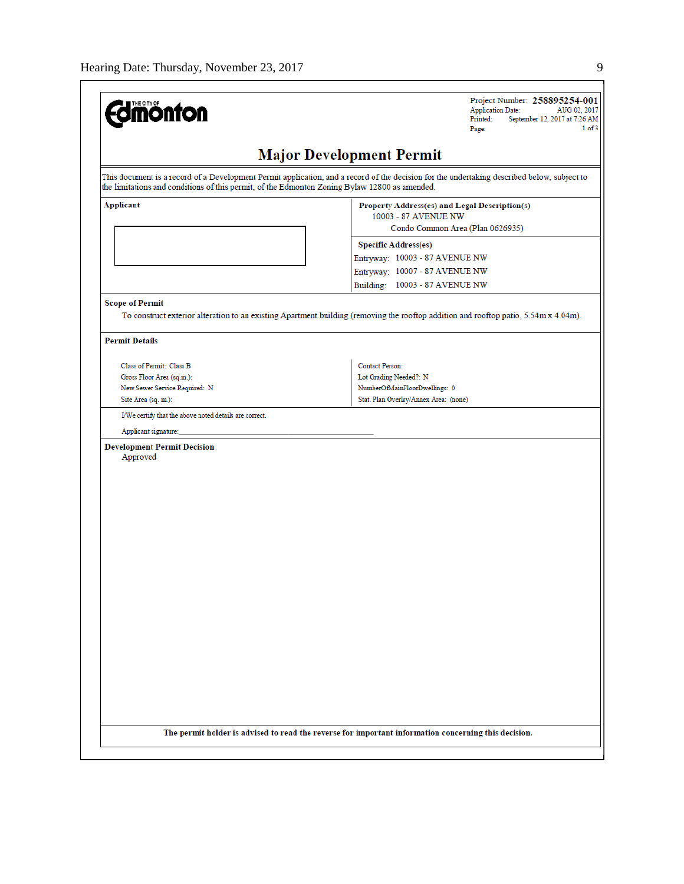| THE CITY OF<br><b>nonton</b>                                                                  | Project Number: 258895254-001<br><b>Application Date:</b><br>AUG 02, 2017<br>Printed:<br>September 12, 2017 at 7:26 AM<br>1 of 3<br>Page:   |  |  |
|-----------------------------------------------------------------------------------------------|---------------------------------------------------------------------------------------------------------------------------------------------|--|--|
|                                                                                               | <b>Major Development Permit</b>                                                                                                             |  |  |
| the limitations and conditions of this permit, of the Edmonton Zoning Bylaw 12800 as amended. | This document is a record of a Development Permit application, and a record of the decision for the undertaking described below, subject to |  |  |
| <b>Applicant</b>                                                                              | Property Address(es) and Legal Description(s)<br>10003 - 87 AVENUE NW                                                                       |  |  |
|                                                                                               | Condo Common Area (Plan 0626935)                                                                                                            |  |  |
|                                                                                               | <b>Specific Address(es)</b>                                                                                                                 |  |  |
|                                                                                               | Entryway: 10003 - 87 AVENUE NW                                                                                                              |  |  |
|                                                                                               | Entryway: 10007 - 87 AVENUE NW                                                                                                              |  |  |
|                                                                                               | Building: 10003 - 87 AVENUE NW                                                                                                              |  |  |
| <b>Scope of Permit</b>                                                                        |                                                                                                                                             |  |  |
|                                                                                               | To construct exterior alteration to an existing Apartment building (removing the rooftop addition and rooftop patio, 5.54m x 4.04m).        |  |  |
| <b>Permit Details</b>                                                                         |                                                                                                                                             |  |  |
| Class of Permit: Class B                                                                      | Contact Person:                                                                                                                             |  |  |
| Gross Floor Area (sq.m.):                                                                     | Lot Grading Needed?: N                                                                                                                      |  |  |
| New Sewer Service Required: N                                                                 | NumberOfMainFloorDwellings: 0                                                                                                               |  |  |
| Site Area (sq. m.):                                                                           | Stat. Plan Overlay/Annex Area: (none)                                                                                                       |  |  |
| I/We certify that the above noted details are correct.                                        |                                                                                                                                             |  |  |
|                                                                                               |                                                                                                                                             |  |  |
| Applicant signature:                                                                          |                                                                                                                                             |  |  |
| <b>Development Permit Decision</b>                                                            |                                                                                                                                             |  |  |
| Approved                                                                                      |                                                                                                                                             |  |  |
|                                                                                               |                                                                                                                                             |  |  |
|                                                                                               |                                                                                                                                             |  |  |
|                                                                                               |                                                                                                                                             |  |  |
|                                                                                               |                                                                                                                                             |  |  |
|                                                                                               |                                                                                                                                             |  |  |
|                                                                                               |                                                                                                                                             |  |  |
|                                                                                               |                                                                                                                                             |  |  |
|                                                                                               |                                                                                                                                             |  |  |
|                                                                                               |                                                                                                                                             |  |  |
|                                                                                               |                                                                                                                                             |  |  |
|                                                                                               |                                                                                                                                             |  |  |
|                                                                                               |                                                                                                                                             |  |  |
|                                                                                               |                                                                                                                                             |  |  |
|                                                                                               |                                                                                                                                             |  |  |
|                                                                                               |                                                                                                                                             |  |  |
|                                                                                               |                                                                                                                                             |  |  |
|                                                                                               |                                                                                                                                             |  |  |
|                                                                                               |                                                                                                                                             |  |  |
|                                                                                               |                                                                                                                                             |  |  |
|                                                                                               |                                                                                                                                             |  |  |
|                                                                                               |                                                                                                                                             |  |  |
|                                                                                               | The permit holder is advised to read the reverse for important information concerning this decision.                                        |  |  |
|                                                                                               |                                                                                                                                             |  |  |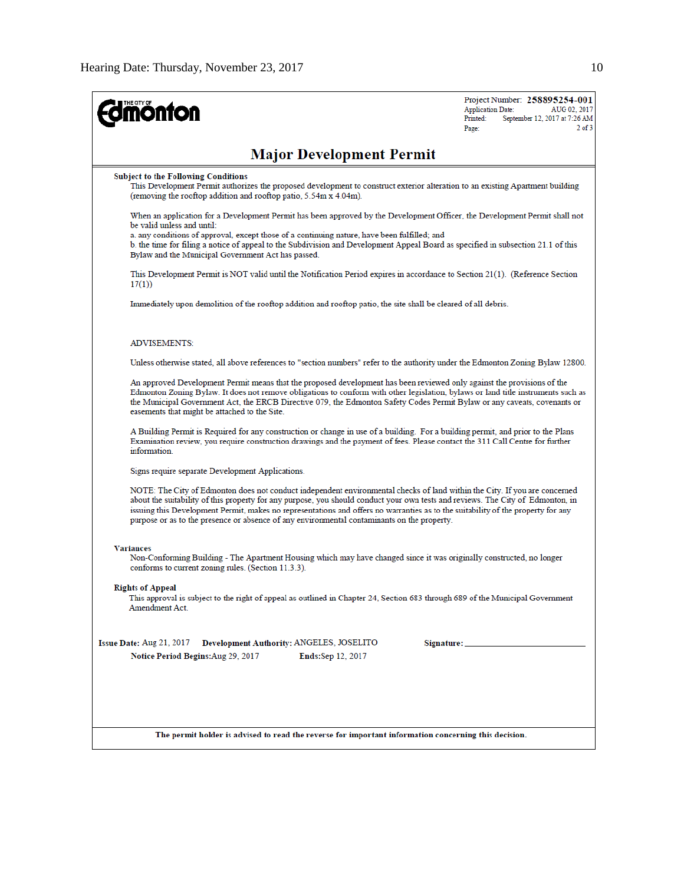| <b>ionton</b>                                                                                                                                                                                                                                                                                                                                                                                                                                                                                    | Project Number: 258895254-001<br><b>Application Date:</b><br>AUG 02, 2017<br>September 12, 2017 at 7:26 AM<br>Printed:<br>$2$ of $3$<br>Page: |
|--------------------------------------------------------------------------------------------------------------------------------------------------------------------------------------------------------------------------------------------------------------------------------------------------------------------------------------------------------------------------------------------------------------------------------------------------------------------------------------------------|-----------------------------------------------------------------------------------------------------------------------------------------------|
| <b>Major Development Permit</b>                                                                                                                                                                                                                                                                                                                                                                                                                                                                  |                                                                                                                                               |
| <b>Subject to the Following Conditions</b><br>This Development Permit authorizes the proposed development to construct exterior alteration to an existing Apartment building<br>(removing the rooftop addition and rooftop patio, 5.54m x 4.04m).                                                                                                                                                                                                                                                |                                                                                                                                               |
| When an application for a Development Permit has been approved by the Development Officer, the Development Permit shall not<br>be valid unless and until:<br>a. any conditions of approval, except those of a continuing nature, have been fulfilled; and<br>b. the time for filing a notice of appeal to the Subdivision and Development Appeal Board as specified in subsection 21.1 of this<br>Bylaw and the Municipal Government Act has passed.                                             |                                                                                                                                               |
| This Development Permit is NOT valid until the Notification Period expires in accordance to Section 21(1). (Reference Section<br>17(1)                                                                                                                                                                                                                                                                                                                                                           |                                                                                                                                               |
| Immediately upon demolition of the rooftop addition and rooftop patio, the site shall be cleared of all debris.                                                                                                                                                                                                                                                                                                                                                                                  |                                                                                                                                               |
| <b>ADVISEMENTS:</b>                                                                                                                                                                                                                                                                                                                                                                                                                                                                              |                                                                                                                                               |
| Unless otherwise stated, all above references to "section numbers" refer to the authority under the Edmonton Zoning Bylaw 12800.                                                                                                                                                                                                                                                                                                                                                                 |                                                                                                                                               |
| An approved Development Permit means that the proposed development has been reviewed only against the provisions of the<br>Edmonton Zoning Bylaw. It does not remove obligations to conform with other legislation, bylaws or land title instruments such as<br>the Municipal Government Act, the ERCB Directive 079, the Edmonton Safety Codes Permit Bylaw or any caveats, covenants or<br>easements that might be attached to the Site.                                                       |                                                                                                                                               |
| A Building Permit is Required for any construction or change in use of a building. For a building permit, and prior to the Plans<br>Examination review, you require construction drawings and the payment of fees. Please contact the 311 Call Centre for further<br>information.                                                                                                                                                                                                                |                                                                                                                                               |
| Signs require separate Development Applications.                                                                                                                                                                                                                                                                                                                                                                                                                                                 |                                                                                                                                               |
| NOTE: The City of Edmonton does not conduct independent environmental checks of land within the City. If you are concerned<br>about the suitability of this property for any purpose, you should conduct your own tests and reviews. The City of Edmonton, in<br>issuing this Development Permit, makes no representations and offers no warranties as to the suitability of the property for any<br>purpose or as to the presence or absence of any environmental contaminants on the property. |                                                                                                                                               |
| <b>Variances</b><br>Non-Conforming Building - The Apartment Housing which may have changed since it was originally constructed, no longer<br>conforms to current zoning rules. (Section 11.3.3).                                                                                                                                                                                                                                                                                                 |                                                                                                                                               |
| <b>Rights of Appeal</b><br>This approval is subject to the right of appeal as outlined in Chapter 24, Section 683 through 689 of the Municipal Government<br>Amendment Act.                                                                                                                                                                                                                                                                                                                      |                                                                                                                                               |
| Issue Date: Aug 21, 2017<br>Development Authority: ANGELES, JOSELITO<br>Notice Period Begins: Aug 29, 2017<br>Ends:Sep 12, 2017                                                                                                                                                                                                                                                                                                                                                                  |                                                                                                                                               |
| The permit holder is advised to read the reverse for important information concerning this decision.                                                                                                                                                                                                                                                                                                                                                                                             |                                                                                                                                               |
|                                                                                                                                                                                                                                                                                                                                                                                                                                                                                                  |                                                                                                                                               |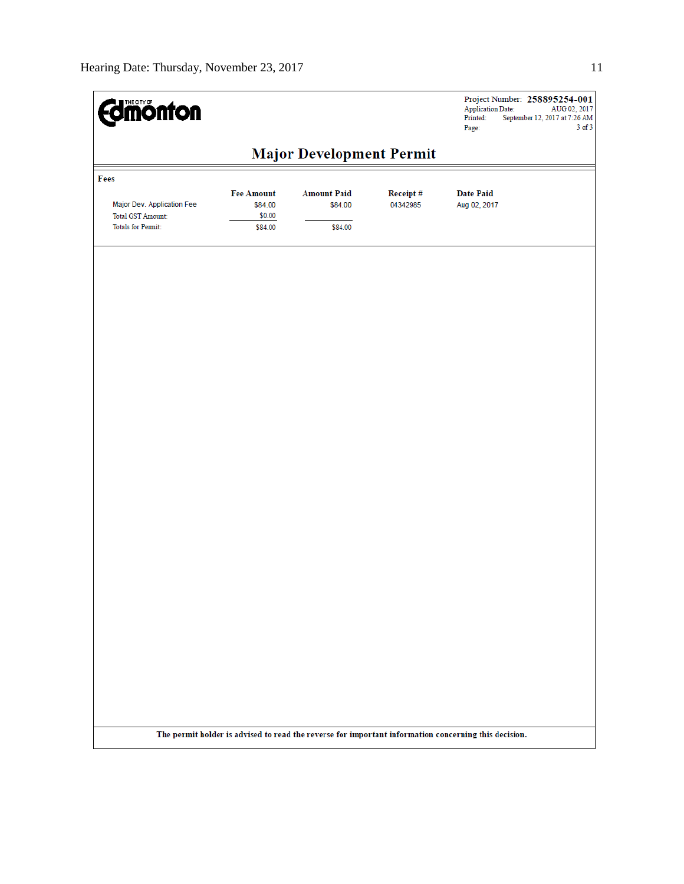| <b>Edinonton</b>                                       |                                        |                                 |                      | Project Number: 258895254-001<br><b>Application Date:</b><br>AUG 02, 2017<br>Printed:<br>September 12, 2017 at 7:26 AM<br>$3$ of $3$<br>Page: |
|--------------------------------------------------------|----------------------------------------|---------------------------------|----------------------|-----------------------------------------------------------------------------------------------------------------------------------------------|
|                                                        |                                        | <b>Major Development Permit</b> |                      |                                                                                                                                               |
| Fees                                                   |                                        |                                 |                      |                                                                                                                                               |
| Major Dev. Application Fee<br><b>Total GST Amount:</b> | <b>Fee Amount</b><br>\$84.00<br>\$0.00 | <b>Amount Paid</b><br>\$84.00   | Receipt#<br>04342985 | <b>Date Paid</b><br>Aug 02, 2017                                                                                                              |
| <b>Totals for Permit:</b>                              | \$84.00                                | \$84.00                         |                      |                                                                                                                                               |
|                                                        |                                        |                                 |                      |                                                                                                                                               |
|                                                        |                                        |                                 |                      |                                                                                                                                               |
|                                                        |                                        |                                 |                      |                                                                                                                                               |
|                                                        |                                        |                                 |                      |                                                                                                                                               |
|                                                        |                                        |                                 |                      |                                                                                                                                               |
|                                                        |                                        |                                 |                      |                                                                                                                                               |
|                                                        |                                        |                                 |                      |                                                                                                                                               |
|                                                        |                                        |                                 |                      |                                                                                                                                               |
|                                                        |                                        |                                 |                      |                                                                                                                                               |
|                                                        |                                        |                                 |                      |                                                                                                                                               |
|                                                        |                                        |                                 |                      |                                                                                                                                               |
|                                                        |                                        |                                 |                      |                                                                                                                                               |
|                                                        |                                        |                                 |                      |                                                                                                                                               |
|                                                        |                                        |                                 |                      |                                                                                                                                               |
|                                                        |                                        |                                 |                      |                                                                                                                                               |
|                                                        |                                        |                                 |                      |                                                                                                                                               |
|                                                        |                                        |                                 |                      |                                                                                                                                               |
|                                                        |                                        |                                 |                      |                                                                                                                                               |
|                                                        |                                        |                                 |                      |                                                                                                                                               |
|                                                        |                                        |                                 |                      |                                                                                                                                               |
|                                                        |                                        |                                 |                      |                                                                                                                                               |
|                                                        |                                        |                                 |                      |                                                                                                                                               |
|                                                        |                                        |                                 |                      | The permit holder is advised to read the reverse for important information concerning this decision.                                          |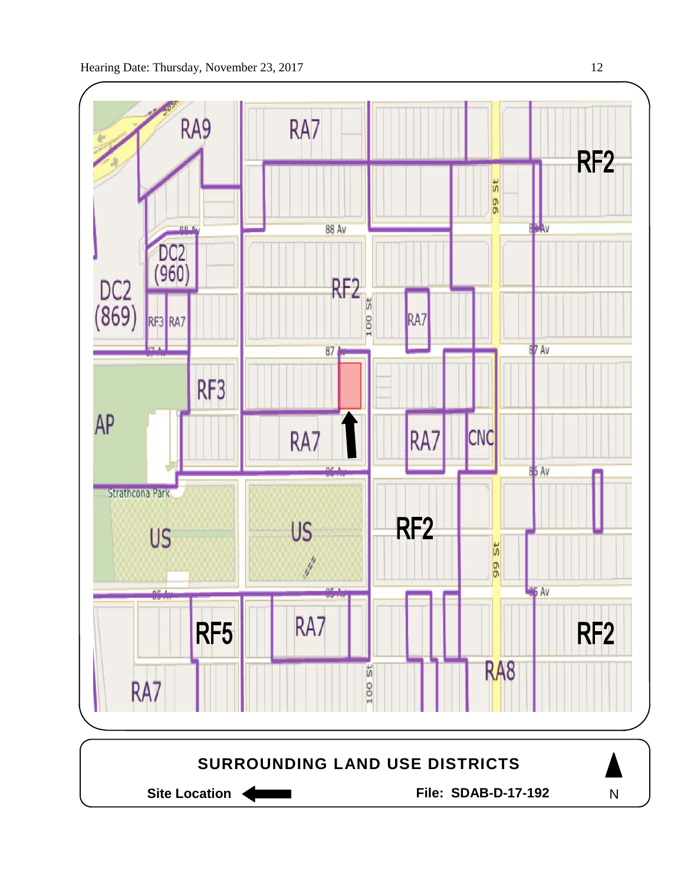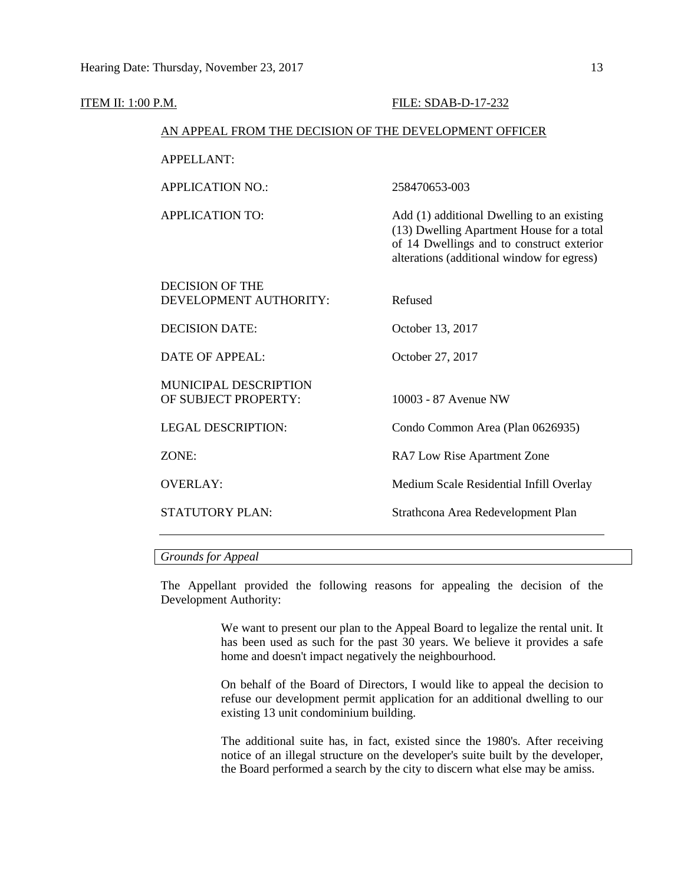| ITEM II: 1:00 P.M. |                                                        | FILE: SDAB-D-17-232                                                                                                                                                                |
|--------------------|--------------------------------------------------------|------------------------------------------------------------------------------------------------------------------------------------------------------------------------------------|
|                    | AN APPEAL FROM THE DECISION OF THE DEVELOPMENT OFFICER |                                                                                                                                                                                    |
|                    | <b>APPELLANT:</b>                                      |                                                                                                                                                                                    |
|                    | <b>APPLICATION NO.:</b>                                | 258470653-003                                                                                                                                                                      |
|                    | <b>APPLICATION TO:</b>                                 | Add (1) additional Dwelling to an existing<br>(13) Dwelling Apartment House for a total<br>of 14 Dwellings and to construct exterior<br>alterations (additional window for egress) |
|                    | <b>DECISION OF THE</b><br>DEVELOPMENT AUTHORITY:       | Refused                                                                                                                                                                            |
|                    | <b>DECISION DATE:</b>                                  | October 13, 2017                                                                                                                                                                   |
|                    | <b>DATE OF APPEAL:</b>                                 | October 27, 2017                                                                                                                                                                   |
|                    | MUNICIPAL DESCRIPTION<br>OF SUBJECT PROPERTY:          | 10003 - 87 Avenue NW                                                                                                                                                               |
|                    | <b>LEGAL DESCRIPTION:</b>                              | Condo Common Area (Plan 0626935)                                                                                                                                                   |
|                    | ZONE:                                                  | RA7 Low Rise Apartment Zone                                                                                                                                                        |
|                    | <b>OVERLAY:</b>                                        | Medium Scale Residential Infill Overlay                                                                                                                                            |
|                    | <b>STATUTORY PLAN:</b>                                 | Strathcona Area Redevelopment Plan                                                                                                                                                 |
|                    |                                                        |                                                                                                                                                                                    |

#### *Grounds for Appeal*

The Appellant provided the following reasons for appealing the decision of the Development Authority:

> We want to present our plan to the Appeal Board to legalize the rental unit. It has been used as such for the past 30 years. We believe it provides a safe home and doesn't impact negatively the neighbourhood.

> On behalf of the Board of Directors, I would like to appeal the decision to refuse our development permit application for an additional dwelling to our existing 13 unit condominium building.

> The additional suite has, in fact, existed since the 1980's. After receiving notice of an illegal structure on the developer's suite built by the developer, the Board performed a search by the city to discern what else may be amiss.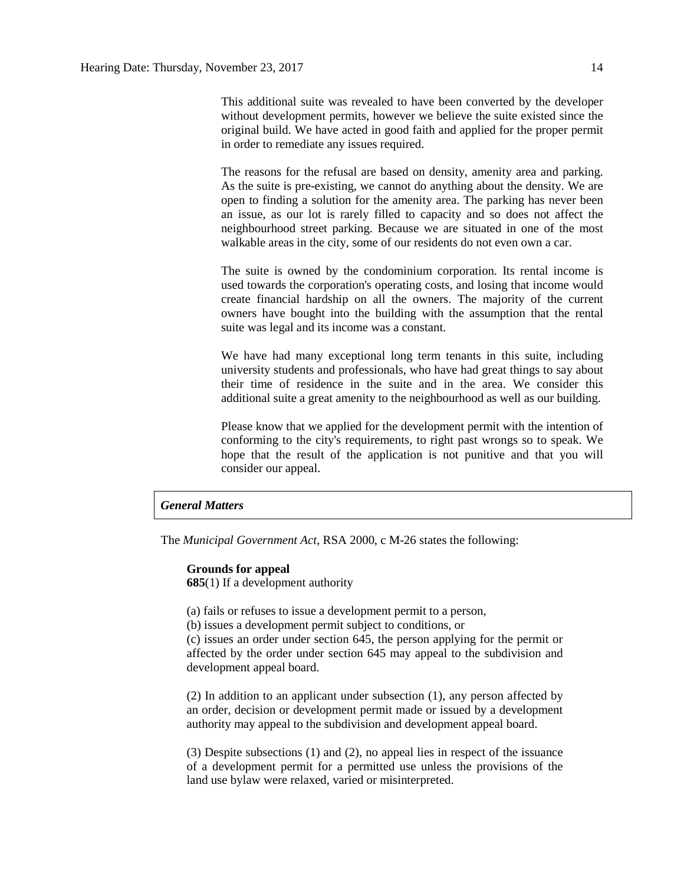This additional suite was revealed to have been converted by the developer without development permits, however we believe the suite existed since the original build. We have acted in good faith and applied for the proper permit in order to remediate any issues required.

The reasons for the refusal are based on density, amenity area and parking. As the suite is pre-existing, we cannot do anything about the density. We are open to finding a solution for the amenity area. The parking has never been an issue, as our lot is rarely filled to capacity and so does not affect the neighbourhood street parking. Because we are situated in one of the most walkable areas in the city, some of our residents do not even own a car.

The suite is owned by the condominium corporation. Its rental income is used towards the corporation's operating costs, and losing that income would create financial hardship on all the owners. The majority of the current owners have bought into the building with the assumption that the rental suite was legal and its income was a constant.

We have had many exceptional long term tenants in this suite, including university students and professionals, who have had great things to say about their time of residence in the suite and in the area. We consider this additional suite a great amenity to the neighbourhood as well as our building.

Please know that we applied for the development permit with the intention of conforming to the city's requirements, to right past wrongs so to speak. We hope that the result of the application is not punitive and that you will consider our appeal.

#### *General Matters*

The *Municipal Government Act*, RSA 2000, c M-26 states the following:

#### **Grounds for appeal**

**685**(1) If a development authority

(a) fails or refuses to issue a development permit to a person,

(b) issues a development permit subject to conditions, or

(c) issues an order under section 645, the person applying for the permit or affected by the order under section 645 may appeal to the subdivision and development appeal board.

(2) In addition to an applicant under subsection (1), any person affected by an order, decision or development permit made or issued by a development authority may appeal to the subdivision and development appeal board.

(3) Despite subsections (1) and (2), no appeal lies in respect of the issuance of a development permit for a permitted use unless the provisions of the land use bylaw were relaxed, varied or misinterpreted.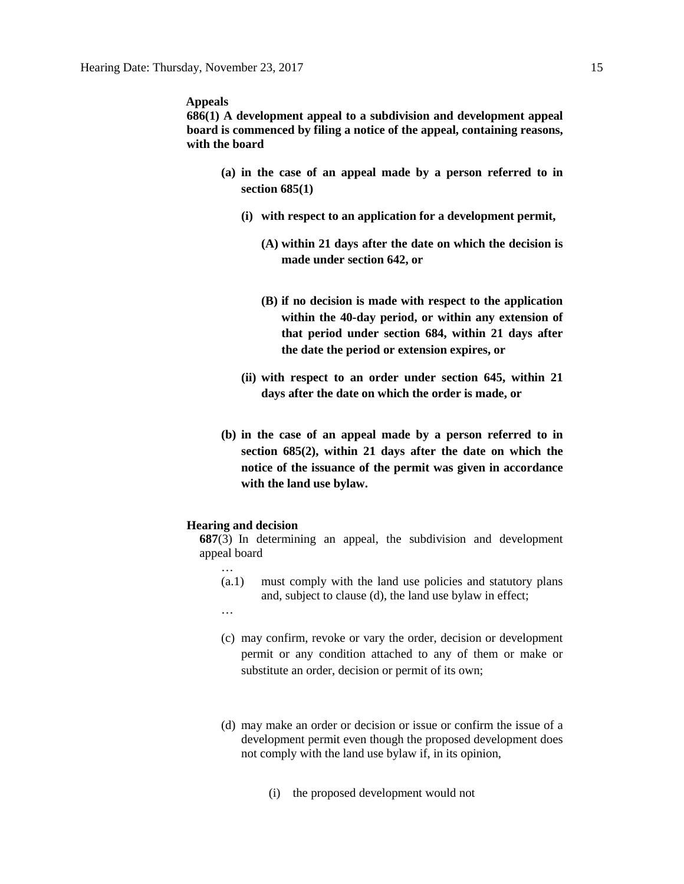#### **Appeals**

**686(1) A development appeal to a subdivision and development appeal board is commenced by filing a notice of the appeal, containing reasons, with the board** 

- **(a) in the case of an appeal made by a person referred to in section 685(1)**
	- **(i) with respect to an application for a development permit,** 
		- **(A) within 21 days after the date on which the decision is made under section 642, or**
		- **(B) if no decision is made with respect to the application within the 40-day period, or within any extension of that period under section 684, within 21 days after the date the period or extension expires, or**
	- **(ii) with respect to an order under section 645, within 21 days after the date on which the order is made, or**
- **(b) in the case of an appeal made by a person referred to in section 685(2), within 21 days after the date on which the notice of the issuance of the permit was given in accordance with the land use bylaw.**

#### **Hearing and decision**

**687**(3) In determining an appeal, the subdivision and development appeal board

- (a.1) must comply with the land use policies and statutory plans and, subject to clause (d), the land use bylaw in effect;
- …

…

- (c) may confirm, revoke or vary the order, decision or development permit or any condition attached to any of them or make or substitute an order, decision or permit of its own;
- (d) may make an order or decision or issue or confirm the issue of a development permit even though the proposed development does not comply with the land use bylaw if, in its opinion,
	- (i) the proposed development would not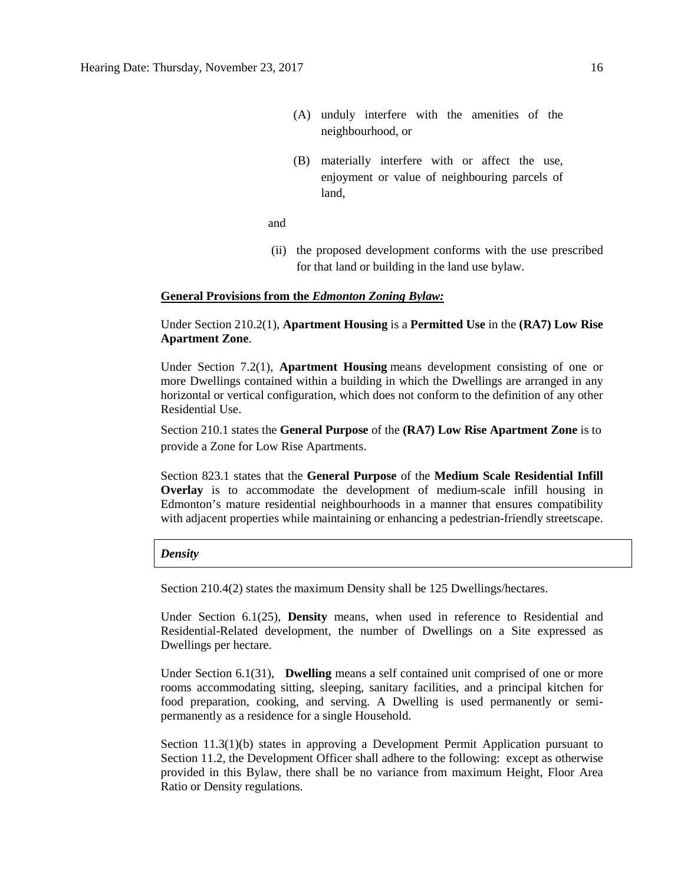- (A) unduly interfere with the amenities of the neighbourhood, or
- (B) materially interfere with or affect the use, enjoyment or value of neighbouring parcels of land,

and

(ii) the proposed development conforms with the use prescribed for that land or building in the land use bylaw.

#### **General Provisions from the** *Edmonton Zoning Bylaw:*

#### Under Section 210.2(1), **Apartment Housing** is a **Permitted Use** in the **(RA7) Low Rise Apartment Zone**.

Under Section 7.2(1), **Apartment Housing** means development consisting of one or more Dwellings contained within a building in which the Dwellings are arranged in any horizontal or vertical configuration, which does not conform to the definition of any other Residential Use.

Section 210.1 states the **General Purpose** of the **(RA7) Low Rise Apartment Zone** is to provide a Zone for Low Rise Apartments.

Section 823.1 states that the **General Purpose** of the **Medium Scale Residential Infill Overlay** is to accommodate the development of medium-scale infill housing in Edmonton's mature residential neighbourhoods in a manner that ensures compatibility with adjacent properties while maintaining or enhancing a pedestrian-friendly streetscape.

#### *Density*

Section 210.4(2) states the maximum Density shall be 125 Dwellings/hectares.

Under Section 6.1(25), **Density** means, when used in reference to Residential and Residential-Related development, the number of Dwellings on a Site expressed as Dwellings per hectare.

Under Section 6.1(31), **Dwelling** means a self contained unit comprised of one or more rooms accommodating sitting, sleeping, sanitary facilities, and a principal kitchen for food preparation, cooking, and serving. A Dwelling is used permanently or semipermanently as a residence for a single Household.

Section 11.3(1)(b) states in approving a Development Permit Application pursuant to Section 11.2, the Development Officer shall adhere to the following: except as otherwise provided in this Bylaw, there shall be no variance from maximum Height, Floor Area Ratio or Density regulations.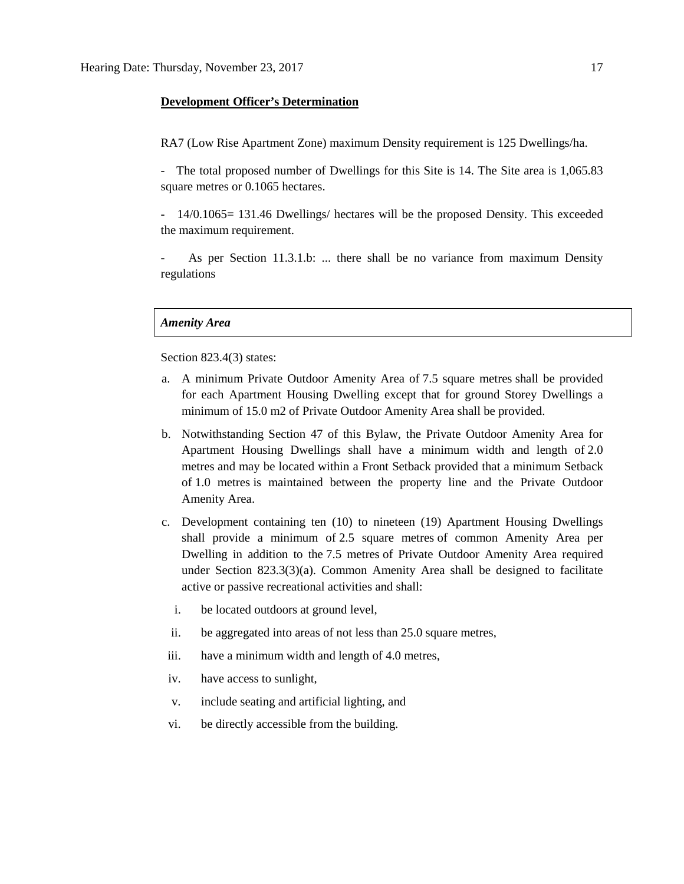#### **Development Officer's Determination**

RA7 (Low Rise Apartment Zone) maximum Density requirement is 125 Dwellings/ha.

- The total proposed number of Dwellings for this Site is 14. The Site area is 1,065.83 square metres or 0.1065 hectares.

- 14/0.1065= 131.46 Dwellings/ hectares will be the proposed Density. This exceeded the maximum requirement.

As per Section 11.3.1.b: ... there shall be no variance from maximum Density regulations

#### *Amenity Area*

Section 823.4(3) states:

- a. A minimum Private Outdoor Amenity Area of [7.5 square](javascript:void(0);) metres shall be provided for each Apartment Housing Dwelling except that for ground Storey Dwellings a minimum of [15.0 m2](javascript:void(0);) of Private Outdoor Amenity Area shall be provided.
- b. Notwithstanding Section 47 of this Bylaw, the Private Outdoor Amenity Area for Apartment Housing Dwellings shall have a minimum width and length of [2.0](javascript:void(0);)  [me](javascript:void(0);)tres and may be located within a Front Setback provided that a minimum Setback of [1.0 me](javascript:void(0);)tres is maintained between the property line and the Private Outdoor Amenity Area.
- c. Development containing ten (10) to nineteen (19) Apartment Housing Dwellings shall provide a minimum of [2.5 square](javascript:void(0);) metres of common Amenity Area per Dwelling in addition to the [7.5 me](javascript:void(0);)tres of Private Outdoor Amenity Area required under Section 823.3(3)(a). Common Amenity Area shall be designed to facilitate active or passive recreational activities and shall:
	- i. be located outdoors at ground level,
	- ii. be aggregated into areas of not less than [25.0 square](javascript:void(0);) metres,
- iii. have a minimum width and length of [4.0 me](javascript:void(0);)tres,
- iv. have access to sunlight,
- v. include seating and artificial lighting, and
- vi. be directly accessible from the building.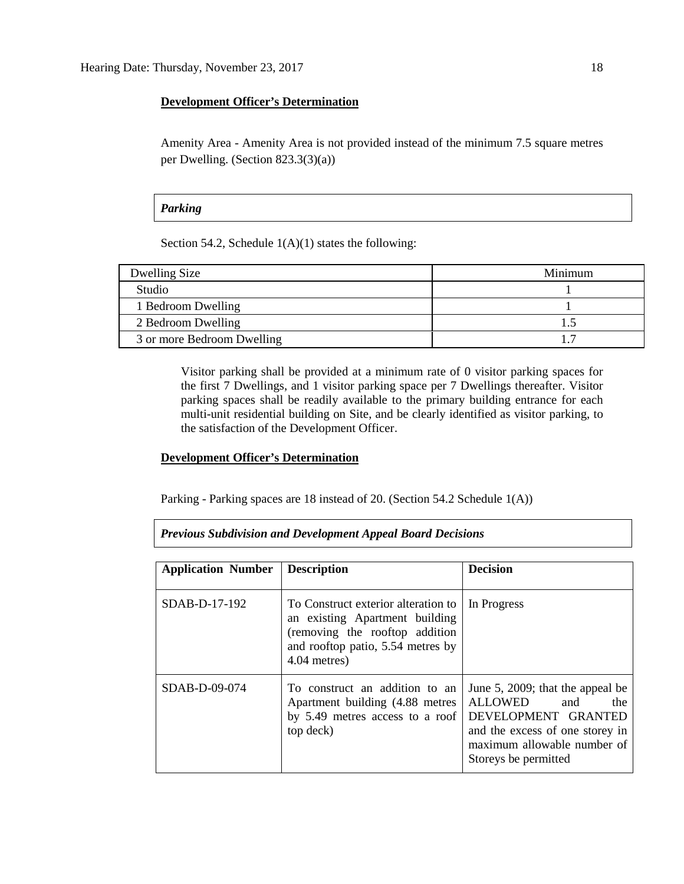#### **Development Officer's Determination**

Amenity Area - Amenity Area is not provided instead of the minimum 7.5 square metres per Dwelling. (Section 823.3(3)(a))

#### *Parking*

Section 54.2, Schedule  $1(A)(1)$  states the following:

| Dwelling Size              | Minimum |
|----------------------------|---------|
| <b>Studio</b>              |         |
| 1 Bedroom Dwelling         |         |
| 2 Bedroom Dwelling         |         |
| 3 or more Bedroom Dwelling |         |

Visitor parking shall be provided at a minimum rate of 0 visitor parking spaces for the first 7 Dwellings, and 1 visitor parking space per 7 Dwellings thereafter. Visitor parking spaces shall be readily available to the primary building entrance for each multi-unit residential building on Site, and be clearly identified as visitor parking, to the satisfaction of the Development Officer.

#### **Development Officer's Determination**

Parking - Parking spaces are 18 instead of 20. (Section 54.2 Schedule 1(A))

#### *Previous Subdivision and Development Appeal Board Decisions*

| <b>Application Number</b> | <b>Description</b>                                                                                                                                           | <b>Decision</b>                                                                                                                                                            |
|---------------------------|--------------------------------------------------------------------------------------------------------------------------------------------------------------|----------------------------------------------------------------------------------------------------------------------------------------------------------------------------|
| $SDAB-D-17-192$           | To Construct exterior alteration to<br>an existing Apartment building<br>(removing the rooftop addition<br>and rooftop patio, 5.54 metres by<br>4.04 metres) | In Progress                                                                                                                                                                |
| $SDAB-D-09-074$           | To construct an addition to an<br>Apartment building (4.88 metres)<br>by 5.49 metres access to a roof<br>top deck)                                           | June 5, 2009; that the appeal be<br>ALLOWED<br>and<br>the<br>DEVELOPMENT GRANTED<br>and the excess of one storey in<br>maximum allowable number of<br>Storeys be permitted |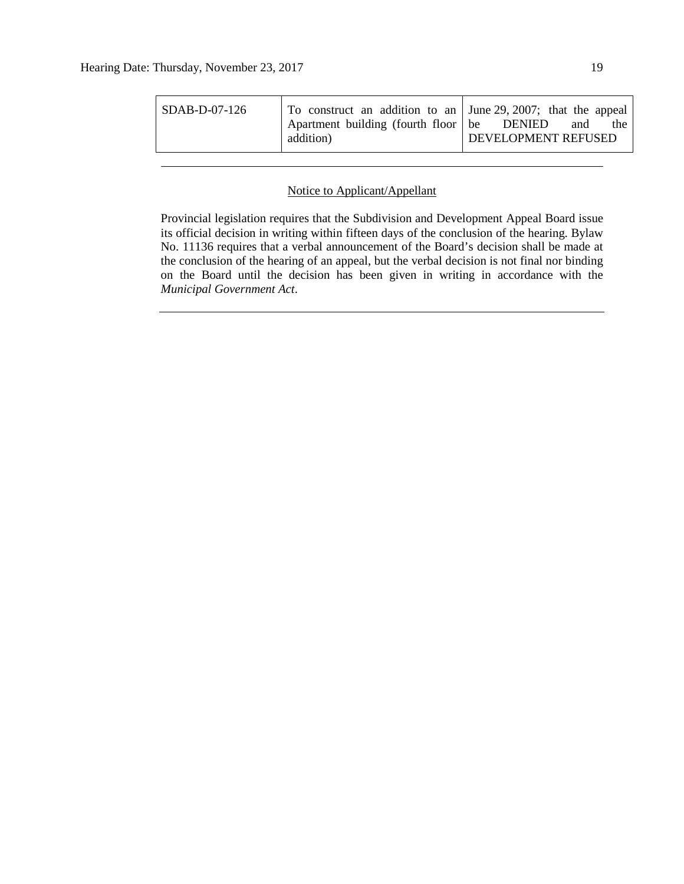| To construct an addition to an June 29, 2007; that the appeal<br>$\overline{SDAB-D-07-126}$<br>Apartment building (fourth floor be DENIED<br>the<br>and<br>DEVELOPMENT REFUSED<br>addition) |
|---------------------------------------------------------------------------------------------------------------------------------------------------------------------------------------------|
|---------------------------------------------------------------------------------------------------------------------------------------------------------------------------------------------|

#### Notice to Applicant/Appellant

Provincial legislation requires that the Subdivision and Development Appeal Board issue its official decision in writing within fifteen days of the conclusion of the hearing. Bylaw No. 11136 requires that a verbal announcement of the Board's decision shall be made at the conclusion of the hearing of an appeal, but the verbal decision is not final nor binding on the Board until the decision has been given in writing in accordance with the *Municipal Government Act*.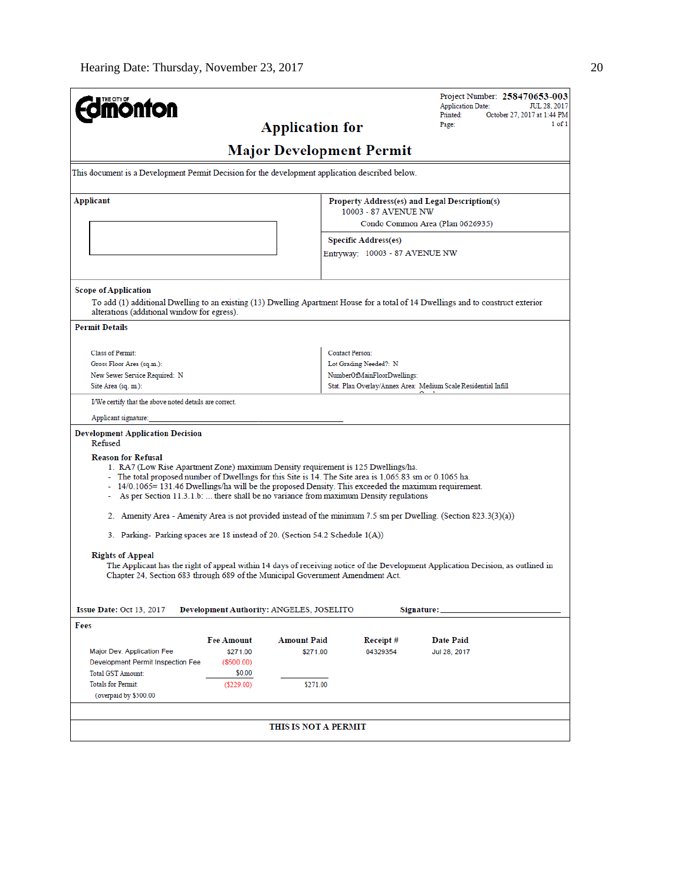| <b>nönton</b>                                                                                                                                                                                                                                                                                                                                                                                                                 |                      | <b>Application for</b>                   |                                                          | Project Number: 258470653-003<br><b>Application Date:</b><br>JUL 28, 2017<br>October 27, 2017 at 1:44 PM<br>Printed:<br>1 of 1<br>Page: |  |  |
|-------------------------------------------------------------------------------------------------------------------------------------------------------------------------------------------------------------------------------------------------------------------------------------------------------------------------------------------------------------------------------------------------------------------------------|----------------------|------------------------------------------|----------------------------------------------------------|-----------------------------------------------------------------------------------------------------------------------------------------|--|--|
| <b>Major Development Permit</b>                                                                                                                                                                                                                                                                                                                                                                                               |                      |                                          |                                                          |                                                                                                                                         |  |  |
| This document is a Development Permit Decision for the development application described below.                                                                                                                                                                                                                                                                                                                               |                      |                                          |                                                          |                                                                                                                                         |  |  |
| Applicant                                                                                                                                                                                                                                                                                                                                                                                                                     |                      |                                          |                                                          | Property Address(es) and Legal Description(s)                                                                                           |  |  |
|                                                                                                                                                                                                                                                                                                                                                                                                                               |                      |                                          | 10003 - 87 AVENUE NW<br>Condo Common Area (Plan 0626935) |                                                                                                                                         |  |  |
|                                                                                                                                                                                                                                                                                                                                                                                                                               |                      |                                          | <b>Specific Address(es)</b>                              |                                                                                                                                         |  |  |
|                                                                                                                                                                                                                                                                                                                                                                                                                               |                      |                                          | Entryway: 10003 - 87 AVENUE NW                           |                                                                                                                                         |  |  |
| <b>Scope of Application</b><br>alterations (additional window for egress).                                                                                                                                                                                                                                                                                                                                                    |                      |                                          |                                                          | To add (1) additional Dwelling to an existing (13) Dwelling Apartment House for a total of 14 Dwellings and to construct exterior       |  |  |
| <b>Permit Details</b>                                                                                                                                                                                                                                                                                                                                                                                                         |                      |                                          |                                                          |                                                                                                                                         |  |  |
| <b>Class of Permit:</b>                                                                                                                                                                                                                                                                                                                                                                                                       |                      |                                          | Contact Person:                                          |                                                                                                                                         |  |  |
| Gross Floor Area (sq.m.):                                                                                                                                                                                                                                                                                                                                                                                                     |                      |                                          | Lot Grading Needed?: N                                   |                                                                                                                                         |  |  |
| New Sewer Service Required: N                                                                                                                                                                                                                                                                                                                                                                                                 |                      |                                          | NumberOfMainFloorDwellings:                              |                                                                                                                                         |  |  |
| Site Area (sq. m.):                                                                                                                                                                                                                                                                                                                                                                                                           |                      |                                          |                                                          | Stat. Plan Overlay/Annex Area: Medium Scale Residential Infill                                                                          |  |  |
| I/We certify that the above noted details are correct.                                                                                                                                                                                                                                                                                                                                                                        |                      |                                          |                                                          |                                                                                                                                         |  |  |
| Applicant signature:                                                                                                                                                                                                                                                                                                                                                                                                          |                      |                                          |                                                          |                                                                                                                                         |  |  |
| <b>Development Application Decision</b><br>Refused                                                                                                                                                                                                                                                                                                                                                                            |                      |                                          |                                                          |                                                                                                                                         |  |  |
| <b>Reason for Refusal</b><br>1. RA7 (Low Rise Apartment Zone) maximum Density requirement is 125 Dwellings/ha.<br>- The total proposed number of Dwellings for this Site is 14. The Site area is 1,065.83 sm or 0.1065 ha.<br>- 14/0.1065=131.46 Dwellings/ha will be the proposed Density. This exceeded the maximum requirement.<br>- As per Section 11.3.1.b:  there shall be no variance from maximum Density regulations |                      |                                          |                                                          |                                                                                                                                         |  |  |
|                                                                                                                                                                                                                                                                                                                                                                                                                               |                      |                                          |                                                          | 2. Amenity Area - Amenity Area is not provided instead of the minimum 7.5 sm per Dwelling. (Section 823.3(3)(a))                        |  |  |
| 3. Parking- Parking spaces are 18 instead of 20. (Section 54.2 Schedule 1(A))                                                                                                                                                                                                                                                                                                                                                 |                      |                                          |                                                          |                                                                                                                                         |  |  |
| <b>Rights of Appeal</b><br>Chapter 24, Section 683 through 689 of the Municipal Government Amendment Act.                                                                                                                                                                                                                                                                                                                     |                      |                                          |                                                          | The Applicant has the right of appeal within 14 days of receiving notice of the Development Application Decision, as outlined in        |  |  |
| <b>Issue Date: Oct 13, 2017</b>                                                                                                                                                                                                                                                                                                                                                                                               |                      | Development Authority: ANGELES, JOSELITO |                                                          | Signature:                                                                                                                              |  |  |
| Fees                                                                                                                                                                                                                                                                                                                                                                                                                          |                      |                                          |                                                          |                                                                                                                                         |  |  |
|                                                                                                                                                                                                                                                                                                                                                                                                                               | <b>Fee Amount</b>    | <b>Amount Paid</b>                       | Receipt#                                                 | Date Paid                                                                                                                               |  |  |
| Major Dev. Application Fee                                                                                                                                                                                                                                                                                                                                                                                                    | \$271.00             | \$271.00                                 | 04329354                                                 | Jul 28, 2017                                                                                                                            |  |  |
| Development Permit Inspection Fee<br><b>Total GST Amount:</b>                                                                                                                                                                                                                                                                                                                                                                 | (\$500.00)<br>\$0.00 |                                          |                                                          |                                                                                                                                         |  |  |
| <b>Totals for Permit:</b>                                                                                                                                                                                                                                                                                                                                                                                                     | $($ \$229.00)        | \$271.00                                 |                                                          |                                                                                                                                         |  |  |
| (overpaid by \$500.00                                                                                                                                                                                                                                                                                                                                                                                                         |                      |                                          |                                                          |                                                                                                                                         |  |  |
|                                                                                                                                                                                                                                                                                                                                                                                                                               |                      |                                          |                                                          |                                                                                                                                         |  |  |
|                                                                                                                                                                                                                                                                                                                                                                                                                               |                      | THIS IS NOT A PERMIT                     |                                                          |                                                                                                                                         |  |  |
|                                                                                                                                                                                                                                                                                                                                                                                                                               |                      |                                          |                                                          |                                                                                                                                         |  |  |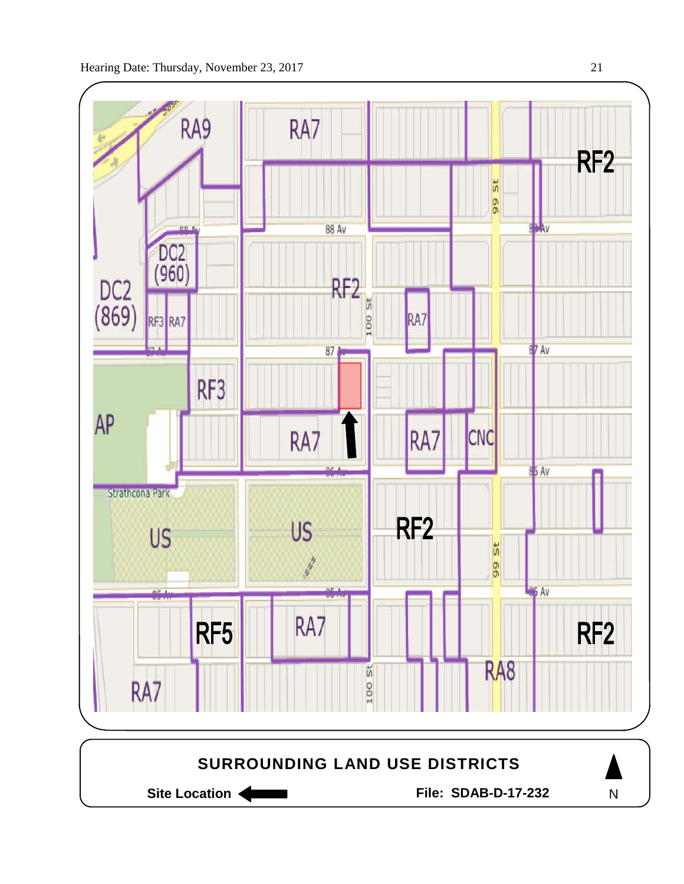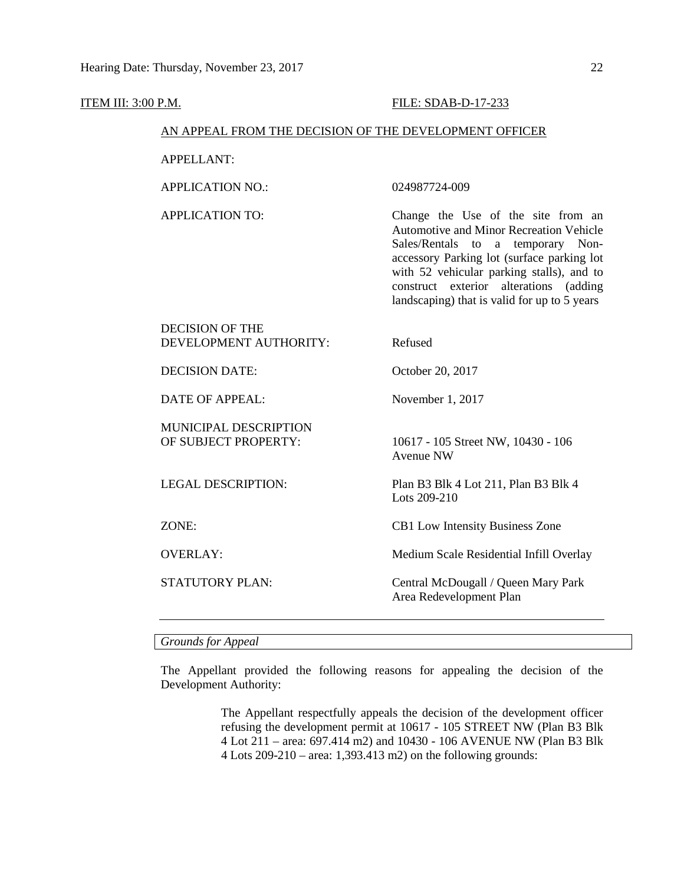#### **ITEM III: 3:00 P.M. FILE: SDAB-D-17-233**

#### AN APPEAL FROM THE DECISION OF THE DEVELOPMENT OFFICER

APPELLANT:

APPLICATION NO.: 024987724-009

APPLICATION TO: Change the Use of the site from an Automotive and Minor Recreation Vehicle Sales/Rentals to a temporary Nonaccessory Parking lot (surface parking lot with 52 vehicular parking stalls), and to construct exterior alterations (adding landscaping) that is valid for up to 5 years

## DECISION OF THE DEVELOPMENT AUTHORITY: Refused DECISION DATE:  $October 20, 2017$

DATE OF APPEAL: November 1, 2017

# MUNICIPAL DESCRIPTION

OF SUBJECT PROPERTY: 10617 - 105 Street NW, 10430 - 106 Avenue NW

LEGAL DESCRIPTION: Plan B3 Blk 4 Lot 211, Plan B3 Blk 4 Lots 209-210

ZONE: CB1 Low Intensity Business Zone

OVERLAY: Medium Scale Residential Infill Overlay

STATUTORY PLAN: Central McDougall / Queen Mary Park Area Redevelopment Plan

#### *Grounds for Appeal*

The Appellant provided the following reasons for appealing the decision of the Development Authority:

> The Appellant respectfully appeals the decision of the development officer refusing the development permit at 10617 - 105 STREET NW (Plan B3 Blk 4 Lot 211 – area: 697.414 m2) and 10430 - 106 AVENUE NW (Plan B3 Blk 4 Lots 209-210 – area: 1,393.413 m2) on the following grounds: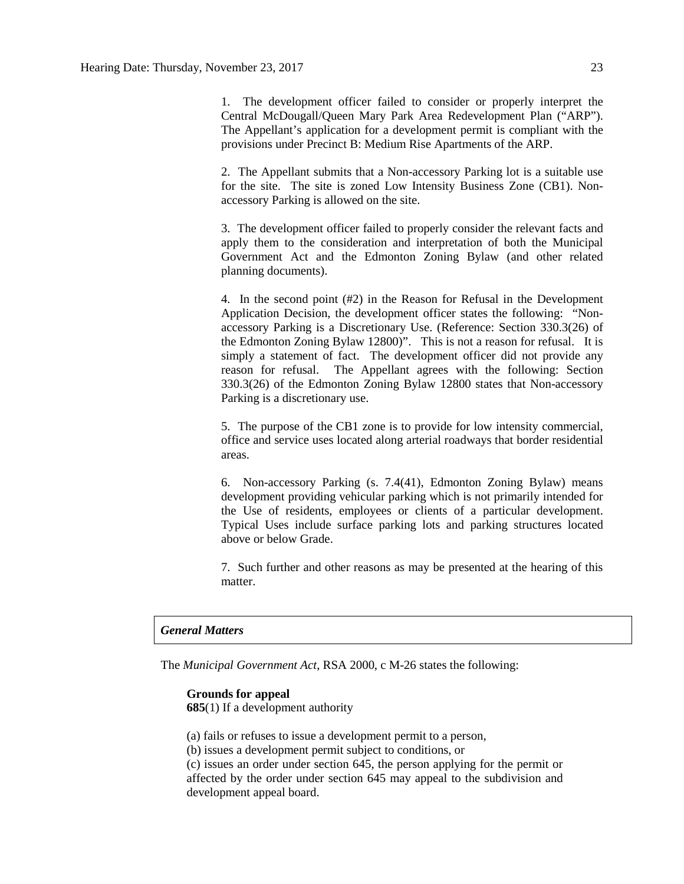1. The development officer failed to consider or properly interpret the Central McDougall/Queen Mary Park Area Redevelopment Plan ("ARP"). The Appellant's application for a development permit is compliant with the provisions under Precinct B: Medium Rise Apartments of the ARP.

2. The Appellant submits that a Non-accessory Parking lot is a suitable use for the site. The site is zoned Low Intensity Business Zone (CB1). Nonaccessory Parking is allowed on the site.

3. The development officer failed to properly consider the relevant facts and apply them to the consideration and interpretation of both the Municipal Government Act and the Edmonton Zoning Bylaw (and other related planning documents).

4. In the second point (#2) in the Reason for Refusal in the Development Application Decision, the development officer states the following: "Nonaccessory Parking is a Discretionary Use. (Reference: Section 330.3(26) of the Edmonton Zoning Bylaw 12800)". This is not a reason for refusal. It is simply a statement of fact. The development officer did not provide any reason for refusal. The Appellant agrees with the following: Section 330.3(26) of the Edmonton Zoning Bylaw 12800 states that Non-accessory Parking is a discretionary use.

5. The purpose of the CB1 zone is to provide for low intensity commercial, office and service uses located along arterial roadways that border residential areas.

6. Non-accessory Parking (s. 7.4(41), Edmonton Zoning Bylaw) means development providing vehicular parking which is not primarily intended for the Use of residents, employees or clients of a particular development. Typical Uses include surface parking lots and parking structures located above or below Grade.

7. Such further and other reasons as may be presented at the hearing of this matter.

#### *General Matters*

The *Municipal Government Act*, RSA 2000, c M-26 states the following:

## **Grounds for appeal**

**685**(1) If a development authority

(a) fails or refuses to issue a development permit to a person,

(b) issues a development permit subject to conditions, or

(c) issues an order under section 645, the person applying for the permit or affected by the order under section 645 may appeal to the subdivision and development appeal board.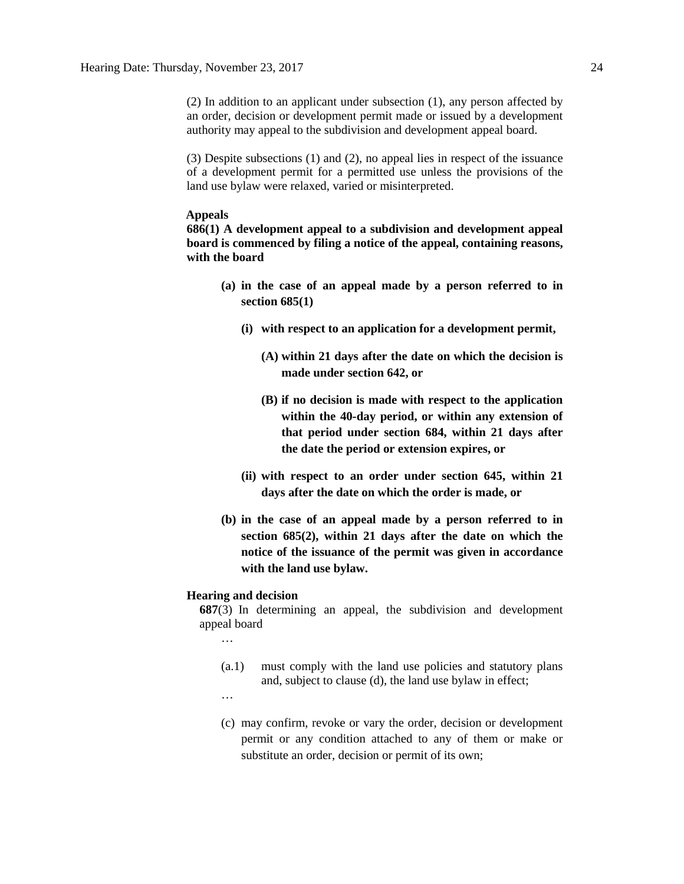(2) In addition to an applicant under subsection (1), any person affected by an order, decision or development permit made or issued by a development authority may appeal to the subdivision and development appeal board.

(3) Despite subsections (1) and (2), no appeal lies in respect of the issuance of a development permit for a permitted use unless the provisions of the land use bylaw were relaxed, varied or misinterpreted.

#### **Appeals**

**686(1) A development appeal to a subdivision and development appeal board is commenced by filing a notice of the appeal, containing reasons, with the board** 

- **(a) in the case of an appeal made by a person referred to in section 685(1)**
	- **(i) with respect to an application for a development permit,** 
		- **(A) within 21 days after the date on which the decision is made under section 642, or**
		- **(B) if no decision is made with respect to the application within the 40-day period, or within any extension of that period under section 684, within 21 days after the date the period or extension expires, or**
	- **(ii) with respect to an order under section 645, within 21 days after the date on which the order is made, or**
- **(b) in the case of an appeal made by a person referred to in section 685(2), within 21 days after the date on which the notice of the issuance of the permit was given in accordance with the land use bylaw.**

#### **Hearing and decision**

**687**(3) In determining an appeal, the subdivision and development appeal board

- …
- (a.1) must comply with the land use policies and statutory plans and, subject to clause (d), the land use bylaw in effect;
- …
- (c) may confirm, revoke or vary the order, decision or development permit or any condition attached to any of them or make or substitute an order, decision or permit of its own;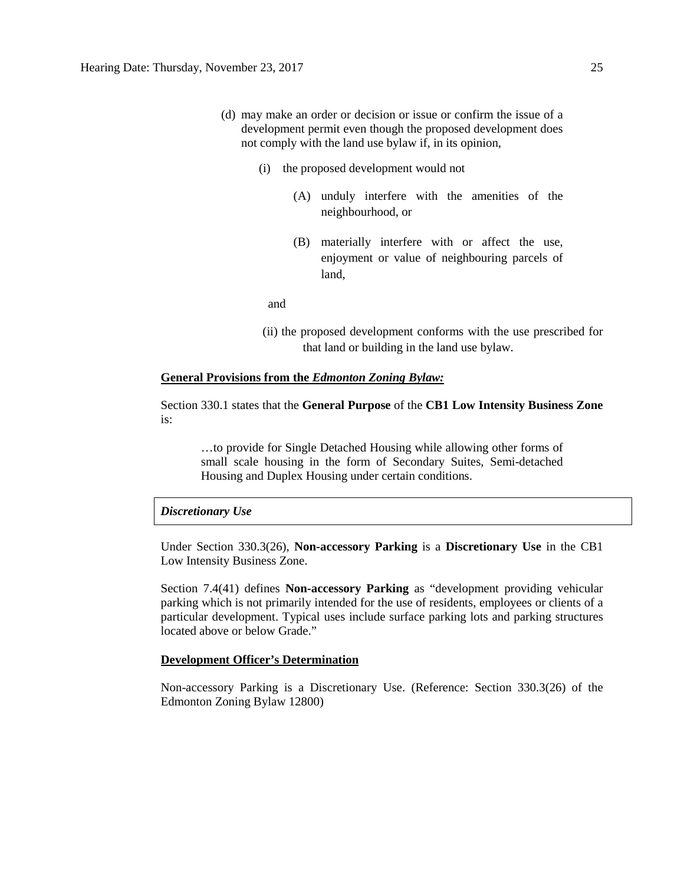- (d) may make an order or decision or issue or confirm the issue of a development permit even though the proposed development does not comply with the land use bylaw if, in its opinion,
	- (i) the proposed development would not
		- (A) unduly interfere with the amenities of the neighbourhood, or
		- (B) materially interfere with or affect the use, enjoyment or value of neighbouring parcels of land,

and

(ii) the proposed development conforms with the use prescribed for that land or building in the land use bylaw.

#### **General Provisions from the** *Edmonton Zoning Bylaw:*

Section 330.1 states that the **General Purpose** of the **CB1 Low Intensity Business Zone** is:

…to provide for Single Detached Housing while allowing other forms of small scale housing in the form of Secondary Suites, Semi-detached Housing and Duplex Housing under certain conditions.

#### *Discretionary Use*

Under Section 330.3(26), **Non-accessory Parking** is a **Discretionary Use** in the CB1 Low Intensity Business Zone.

Section 7.4(41) defines **Non-accessory Parking** as "development providing vehicular parking which is not primarily intended for the use of residents, employees or clients of a particular development. Typical uses include surface parking lots and parking structures located above or below Grade."

#### **Development Officer's Determination**

Non-accessory Parking is a Discretionary Use. (Reference: Section 330.3(26) of the Edmonton Zoning Bylaw 12800)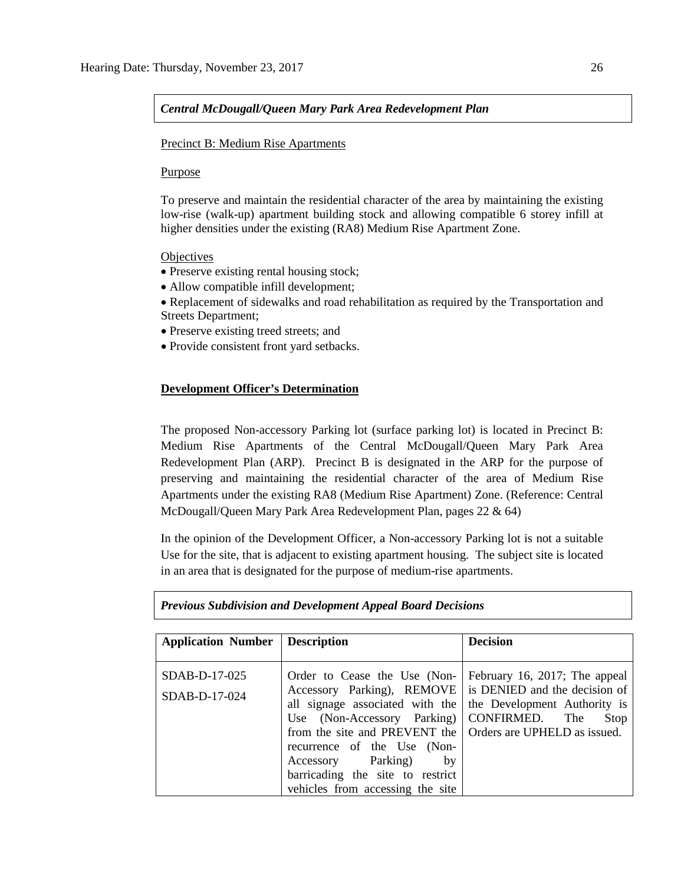#### *Central McDougall/Queen Mary Park Area Redevelopment Plan*

#### Precinct B: Medium Rise Apartments

#### Purpose

To preserve and maintain the residential character of the area by maintaining the existing low-rise (walk-up) apartment building stock and allowing compatible 6 storey infill at higher densities under the existing (RA8) Medium Rise Apartment Zone.

#### **Objectives**

- Preserve existing rental housing stock;
- Allow compatible infill development;
- Replacement of sidewalks and road rehabilitation as required by the Transportation and Streets Department;
- Preserve existing treed streets; and
- Provide consistent front yard setbacks.

#### **Development Officer's Determination**

The proposed Non-accessory Parking lot (surface parking lot) is located in Precinct B: Medium Rise Apartments of the Central McDougall/Queen Mary Park Area Redevelopment Plan (ARP). Precinct B is designated in the ARP for the purpose of preserving and maintaining the residential character of the area of Medium Rise Apartments under the existing RA8 (Medium Rise Apartment) Zone. (Reference: Central McDougall/Queen Mary Park Area Redevelopment Plan, pages 22 & 64)

In the opinion of the Development Officer, a Non-accessory Parking lot is not a suitable Use for the site, that is adjacent to existing apartment housing. The subject site is located in an area that is designated for the purpose of medium-rise apartments.

| <b>Application Number</b> | <b>Description</b>                                                                                                                                                                                                        | <b>Decision</b>                                        |
|---------------------------|---------------------------------------------------------------------------------------------------------------------------------------------------------------------------------------------------------------------------|--------------------------------------------------------|
| SDAB-D-17-025             | Order to Cease the Use (Non-                                                                                                                                                                                              | February 16, 2017; The appeal                          |
| SDAB-D-17-024             | Accessory Parking), REMOVE is DENIED and the decision of<br>all signage associated with the<br>Use (Non-Accessory Parking)<br>from the site and PREVENT the   Orders are UPHELD as issued.<br>recurrence of the Use (Non- | the Development Authority is<br>CONFIRMED. The<br>Stop |
|                           | Accessory Parking)<br>by<br>barricading the site to restrict<br>vehicles from accessing the site                                                                                                                          |                                                        |

#### *Previous Subdivision and Development Appeal Board Decisions*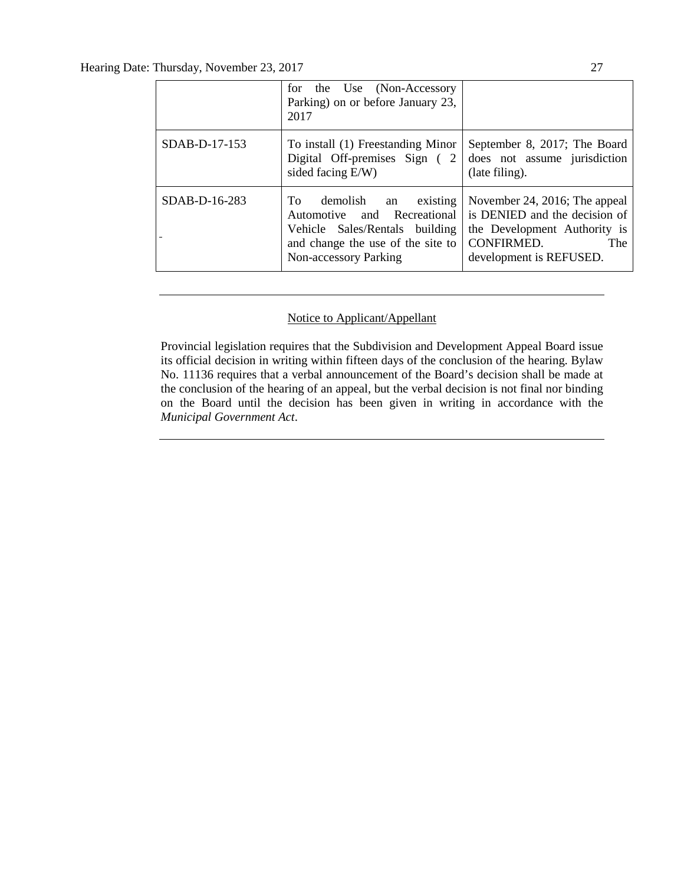|               | for the Use (Non-Accessory<br>Parking) on or before January 23,<br>2017                                                                                      |                                                                                                                                                |  |  |
|---------------|--------------------------------------------------------------------------------------------------------------------------------------------------------------|------------------------------------------------------------------------------------------------------------------------------------------------|--|--|
| SDAB-D-17-153 | To install (1) Freestanding Minor<br>Digital Off-premises Sign (2<br>sided facing E/W)                                                                       | September 8, 2017; The Board<br>does not assume jurisdiction<br>(late filing).                                                                 |  |  |
| SDAB-D-16-283 | demolish<br>To<br>an existing<br>Automotive and Recreational<br>Vehicle Sales/Rentals building<br>and change the use of the site to<br>Non-accessory Parking | November 24, 2016; The appeal<br>is DENIED and the decision of<br>the Development Authority is<br>CONFIRMED.<br>The<br>development is REFUSED. |  |  |

### Notice to Applicant/Appellant

Provincial legislation requires that the Subdivision and Development Appeal Board issue its official decision in writing within fifteen days of the conclusion of the hearing. Bylaw No. 11136 requires that a verbal announcement of the Board's decision shall be made at the conclusion of the hearing of an appeal, but the verbal decision is not final nor binding on the Board until the decision has been given in writing in accordance with the *Municipal Government Act*.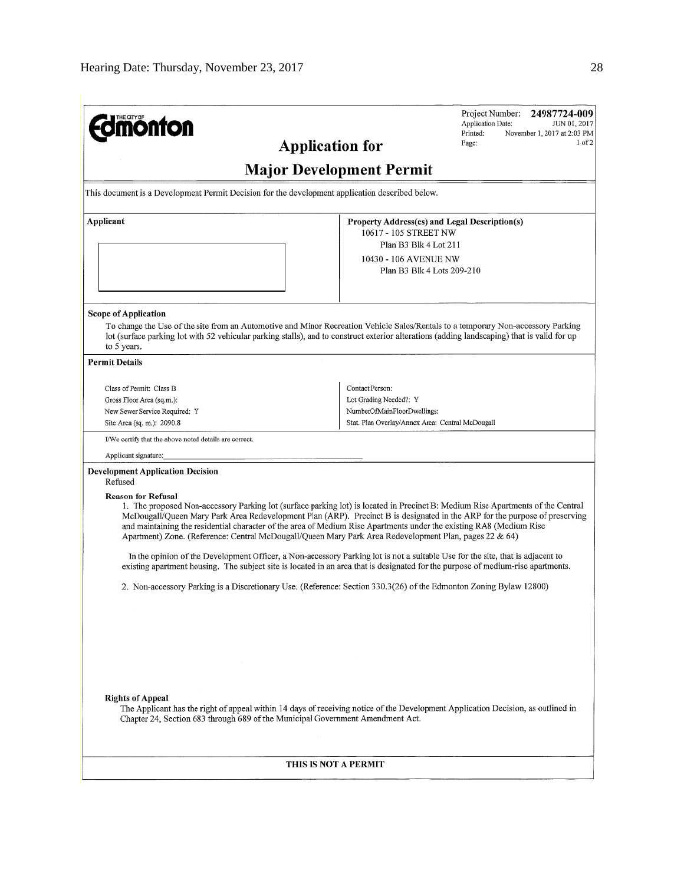| <b>mönton</b><br><b>Application for</b>                                                                                                                                                                                                                                                                                                                                                     | Project Number: 24987724-009<br>Application Date:<br>JUN 01, 2017<br>Printed:<br>November 1, 2017 at 2:03 PM<br>1 <sub>0</sub> f <sub>2</sub><br>Page:                                                                                                                                                                                                                                                                                                                                                                              |  |  |  |  |  |  |
|---------------------------------------------------------------------------------------------------------------------------------------------------------------------------------------------------------------------------------------------------------------------------------------------------------------------------------------------------------------------------------------------|-------------------------------------------------------------------------------------------------------------------------------------------------------------------------------------------------------------------------------------------------------------------------------------------------------------------------------------------------------------------------------------------------------------------------------------------------------------------------------------------------------------------------------------|--|--|--|--|--|--|
| <b>Major Development Permit</b>                                                                                                                                                                                                                                                                                                                                                             |                                                                                                                                                                                                                                                                                                                                                                                                                                                                                                                                     |  |  |  |  |  |  |
| This document is a Development Permit Decision for the development application described below.                                                                                                                                                                                                                                                                                             |                                                                                                                                                                                                                                                                                                                                                                                                                                                                                                                                     |  |  |  |  |  |  |
| Applicant                                                                                                                                                                                                                                                                                                                                                                                   | Property Address(es) and Legal Description(s)<br>10617 - 105 STREET NW<br>Plan B3 Blk 4 Lot 211<br>10430 - 106 AVENUE NW<br>Plan B3 Blk 4 Lots 209-210                                                                                                                                                                                                                                                                                                                                                                              |  |  |  |  |  |  |
| <b>Scope of Application</b><br>to 5 years.                                                                                                                                                                                                                                                                                                                                                  | To change the Use of the site from an Automotive and Minor Recreation Vehicle Sales/Rentals to a temporary Non-accessory Parking<br>lot (surface parking lot with 52 vehicular parking stalls), and to construct exterior alterations (adding landscaping) that is valid for up                                                                                                                                                                                                                                                     |  |  |  |  |  |  |
| <b>Permit Details</b>                                                                                                                                                                                                                                                                                                                                                                       |                                                                                                                                                                                                                                                                                                                                                                                                                                                                                                                                     |  |  |  |  |  |  |
| Class of Permit: Class B<br>Gross Floor Area (sq.m.):<br>New Sewer Service Required: Y<br>Site Area (sq. m.): 2090.8<br>I/We certify that the above noted details are correct.<br>Applicant signature:<br><b>Development Application Decision</b>                                                                                                                                           | Contact Person:<br>Lot Grading Needed?: Y<br>NumberOfMainFloorDwellings;<br>Stat. Plan Overlay/Annex Area: Central McDougall                                                                                                                                                                                                                                                                                                                                                                                                        |  |  |  |  |  |  |
| Refused<br><b>Reason for Refusal</b><br>and maintaining the residential character of the area of Medium Rise Apartments under the existing RA8 (Medium Rise<br>Apartment) Zone. (Reference: Central McDougall/Queen Mary Park Area Redevelopment Plan, pages 22 & 64)<br>2. Non-accessory Parking is a Discretionary Use. (Reference: Section 330.3(26) of the Edmonton Zoning Bylaw 12800) | 1. The proposed Non-accessory Parking lot (surface parking lot) is located in Precinct B: Medium Rise Apartments of the Central<br>McDougall/Queen Mary Park Area Redevelopment Plan (ARP). Precinct B is designated in the ARP for the purpose of preserving<br>In the opinion of the Development Officer, a Non-accessory Parking lot is not a suitable Use for the site, that is adjacent to<br>existing apartment housing. The subject site is located in an area that is designated for the purpose of medium-rise apartments. |  |  |  |  |  |  |
| <b>Rights of Appeal</b><br>Chapter 24, Section 683 through 689 of the Municipal Government Amendment Act.                                                                                                                                                                                                                                                                                   | The Applicant has the right of appeal within 14 days of receiving notice of the Development Application Decision, as outlined in                                                                                                                                                                                                                                                                                                                                                                                                    |  |  |  |  |  |  |
| THIS IS NOT A PERMIT                                                                                                                                                                                                                                                                                                                                                                        |                                                                                                                                                                                                                                                                                                                                                                                                                                                                                                                                     |  |  |  |  |  |  |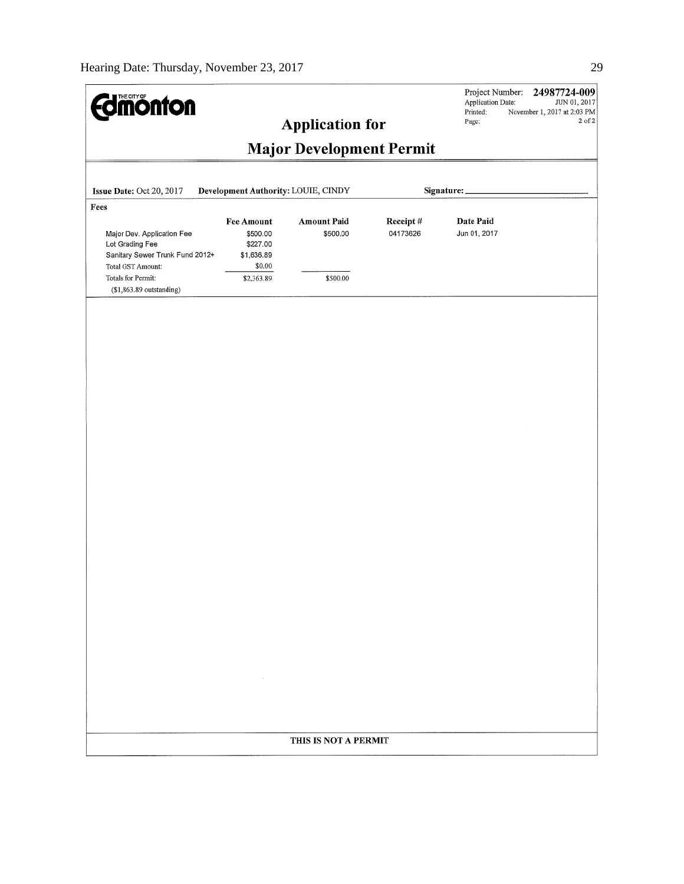| <b>Imónfon</b>                                                                           |                                                         | <b>Application for</b>         |                      | Project Number:<br>Application Date:<br>Printed:<br>Page: | 24987724-009<br>JUN 01, 2017<br>November 1, 2017 at 2:03 PM<br>2 of 2 |  |
|------------------------------------------------------------------------------------------|---------------------------------------------------------|--------------------------------|----------------------|-----------------------------------------------------------|-----------------------------------------------------------------------|--|
| <b>Major Development Permit</b>                                                          |                                                         |                                |                      |                                                           |                                                                       |  |
| Issue Date: Oct 20, 2017                                                                 | Development Authority: LOUIE, CINDY                     |                                |                      | Signature:                                                |                                                                       |  |
| Fees<br>Major Dev. Application Fee<br>Lot Grading Fee<br>Sanitary Sewer Trunk Fund 2012+ | <b>Fee Amount</b><br>\$500.00<br>\$227.00<br>\$1,636.89 | <b>Amount Paid</b><br>\$500.00 | Receipt#<br>04173626 | Date Paid<br>Jun 01, 2017                                 |                                                                       |  |
| Total GST Amount:<br>Totals for Permit:<br>$($1,863.89$ outstanding)                     | \$0.00<br>\$2,363.89                                    | \$500.00                       |                      |                                                           |                                                                       |  |
|                                                                                          |                                                         |                                |                      |                                                           |                                                                       |  |
|                                                                                          |                                                         |                                |                      |                                                           |                                                                       |  |
|                                                                                          |                                                         |                                |                      |                                                           |                                                                       |  |
|                                                                                          |                                                         |                                |                      |                                                           |                                                                       |  |
|                                                                                          |                                                         |                                |                      |                                                           |                                                                       |  |
|                                                                                          |                                                         |                                |                      |                                                           |                                                                       |  |
|                                                                                          |                                                         |                                |                      |                                                           |                                                                       |  |
|                                                                                          |                                                         |                                |                      |                                                           |                                                                       |  |
|                                                                                          |                                                         |                                |                      |                                                           |                                                                       |  |
|                                                                                          |                                                         |                                |                      |                                                           |                                                                       |  |
|                                                                                          | $\sim$ 100 $\mu$                                        |                                |                      |                                                           |                                                                       |  |
|                                                                                          |                                                         |                                |                      |                                                           |                                                                       |  |
|                                                                                          |                                                         | THIS IS NOT A PERMIT           |                      |                                                           |                                                                       |  |